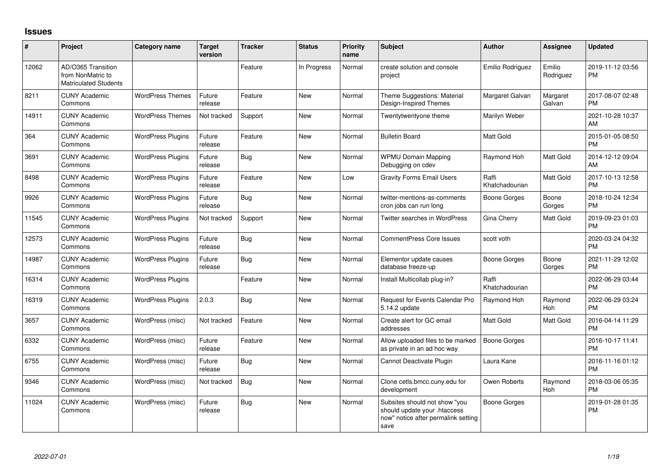## **Issues**

| #     | Project                                                                 | <b>Category name</b>     | <b>Target</b><br>version | <b>Tracker</b> | <b>Status</b> | <b>Priority</b><br>name | <b>Subject</b>                                                                                               | <b>Author</b>           | <b>Assignee</b>     | <b>Updated</b>                |
|-------|-------------------------------------------------------------------------|--------------------------|--------------------------|----------------|---------------|-------------------------|--------------------------------------------------------------------------------------------------------------|-------------------------|---------------------|-------------------------------|
| 12062 | AD/O365 Transition<br>from NonMatric to<br><b>Matriculated Students</b> |                          |                          | Feature        | In Progress   | Normal                  | create solution and console<br>project                                                                       | Emilio Rodriguez        | Emilio<br>Rodriguez | 2019-11-12 03:56<br><b>PM</b> |
| 8211  | <b>CUNY Academic</b><br>Commons                                         | <b>WordPress Themes</b>  | Future<br>release        | Feature        | <b>New</b>    | Normal                  | Theme Suggestions: Material<br>Design-Inspired Themes                                                        | Margaret Galvan         | Margaret<br>Galvan  | 2017-08-07 02:48<br><b>PM</b> |
| 14911 | <b>CUNY Academic</b><br>Commons                                         | <b>WordPress Themes</b>  | Not tracked              | Support        | <b>New</b>    | Normal                  | Twentytwentyone theme                                                                                        | Marilyn Weber           |                     | 2021-10-28 10:37<br>AM        |
| 364   | <b>CUNY Academic</b><br>Commons                                         | <b>WordPress Plugins</b> | Future<br>release        | Feature        | New           | Normal                  | <b>Bulletin Board</b>                                                                                        | <b>Matt Gold</b>        |                     | 2015-01-05 08:50<br><b>PM</b> |
| 3691  | <b>CUNY Academic</b><br>Commons                                         | <b>WordPress Plugins</b> | Future<br>release        | Bug            | <b>New</b>    | Normal                  | <b>WPMU Domain Mapping</b><br>Debugging on cdev                                                              | Raymond Hoh             | Matt Gold           | 2014-12-12 09:04<br>AM        |
| 8498  | <b>CUNY Academic</b><br>Commons                                         | <b>WordPress Plugins</b> | Future<br>release        | Feature        | New           | Low                     | <b>Gravity Forms Email Users</b>                                                                             | Raffi<br>Khatchadourian | Matt Gold           | 2017-10-13 12:58<br><b>PM</b> |
| 9926  | <b>CUNY Academic</b><br>Commons                                         | <b>WordPress Plugins</b> | Future<br>release        | Bug            | New           | Normal                  | twitter-mentions-as-comments<br>cron jobs can run long                                                       | Boone Gorges            | Boone<br>Gorges     | 2018-10-24 12:34<br><b>PM</b> |
| 11545 | <b>CUNY Academic</b><br>Commons                                         | <b>WordPress Plugins</b> | Not tracked              | Support        | <b>New</b>    | Normal                  | Twitter searches in WordPress                                                                                | Gina Cherry             | Matt Gold           | 2019-09-23 01:03<br><b>PM</b> |
| 12573 | <b>CUNY Academic</b><br>Commons                                         | <b>WordPress Plugins</b> | Future<br>release        | <b>Bug</b>     | New           | Normal                  | <b>CommentPress Core Issues</b>                                                                              | scott voth              |                     | 2020-03-24 04:32<br><b>PM</b> |
| 14987 | <b>CUNY Academic</b><br>Commons                                         | <b>WordPress Plugins</b> | Future<br>release        | Bug            | <b>New</b>    | Normal                  | Elementor update causes<br>database freeze-up                                                                | Boone Gorges            | Boone<br>Gorges     | 2021-11-29 12:02<br><b>PM</b> |
| 16314 | <b>CUNY Academic</b><br>Commons                                         | <b>WordPress Plugins</b> |                          | Feature        | New           | Normal                  | Install Multicollab plug-in?                                                                                 | Raffi<br>Khatchadourian |                     | 2022-06-29 03:44<br><b>PM</b> |
| 16319 | <b>CUNY Academic</b><br>Commons                                         | <b>WordPress Plugins</b> | 2.0.3                    | Bug            | New           | Normal                  | Request for Events Calendar Pro<br>5.14.2 update                                                             | Raymond Hoh             | Raymond<br>Hoh      | 2022-06-29 03:24<br><b>PM</b> |
| 3657  | <b>CUNY Academic</b><br>Commons                                         | WordPress (misc)         | Not tracked              | Feature        | <b>New</b>    | Normal                  | Create alert for GC email<br>addresses                                                                       | <b>Matt Gold</b>        | Matt Gold           | 2016-04-14 11:29<br><b>PM</b> |
| 6332  | <b>CUNY Academic</b><br>Commons                                         | WordPress (misc)         | Future<br>release        | Feature        | New           | Normal                  | Allow uploaded files to be marked<br>as private in an ad hoc way                                             | Boone Gorges            |                     | 2016-10-17 11:41<br><b>PM</b> |
| 6755  | <b>CUNY Academic</b><br>Commons                                         | WordPress (misc)         | Future<br>release        | Bug            | New           | Normal                  | Cannot Deactivate Plugin                                                                                     | Laura Kane              |                     | 2016-11-16 01:12<br><b>PM</b> |
| 9346  | <b>CUNY Academic</b><br>Commons                                         | WordPress (misc)         | Not tracked              | Bug            | New           | Normal                  | Clone cetls.bmcc.cuny.edu for<br>development                                                                 | Owen Roberts            | Raymond<br>Hoh      | 2018-03-06 05:35<br><b>PM</b> |
| 11024 | <b>CUNY Academic</b><br>Commons                                         | WordPress (misc)         | Future<br>release        | Bug            | New           | Normal                  | Subsites should not show "you<br>should update your .htaccess<br>now" notice after permalink setting<br>save | Boone Gorges            |                     | 2019-01-28 01:35<br><b>PM</b> |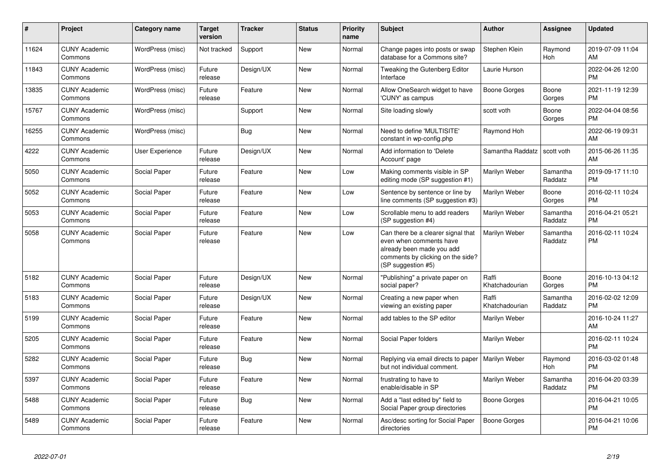| $\pmb{\#}$ | <b>Project</b>                  | <b>Category name</b> | <b>Target</b><br>version | <b>Tracker</b> | <b>Status</b> | <b>Priority</b><br>name | <b>Subject</b>                                                                                                                                        | <b>Author</b>           | Assignee            | <b>Updated</b>                |
|------------|---------------------------------|----------------------|--------------------------|----------------|---------------|-------------------------|-------------------------------------------------------------------------------------------------------------------------------------------------------|-------------------------|---------------------|-------------------------------|
| 11624      | <b>CUNY Academic</b><br>Commons | WordPress (misc)     | Not tracked              | Support        | <b>New</b>    | Normal                  | Change pages into posts or swap<br>database for a Commons site?                                                                                       | Stephen Klein           | Raymond<br>Hoh      | 2019-07-09 11:04<br>AM        |
| 11843      | <b>CUNY Academic</b><br>Commons | WordPress (misc)     | Future<br>release        | Design/UX      | <b>New</b>    | Normal                  | Tweaking the Gutenberg Editor<br>Interface                                                                                                            | Laurie Hurson           |                     | 2022-04-26 12:00<br><b>PM</b> |
| 13835      | <b>CUNY Academic</b><br>Commons | WordPress (misc)     | Future<br>release        | Feature        | <b>New</b>    | Normal                  | Allow OneSearch widget to have<br>'CUNY' as campus                                                                                                    | Boone Gorges            | Boone<br>Gorges     | 2021-11-19 12:39<br><b>PM</b> |
| 15767      | <b>CUNY Academic</b><br>Commons | WordPress (misc)     |                          | Support        | <b>New</b>    | Normal                  | Site loading slowly                                                                                                                                   | scott voth              | Boone<br>Gorges     | 2022-04-04 08:56<br><b>PM</b> |
| 16255      | <b>CUNY Academic</b><br>Commons | WordPress (misc)     |                          | Bug            | <b>New</b>    | Normal                  | Need to define 'MULTISITE'<br>constant in wp-config.php                                                                                               | Raymond Hoh             |                     | 2022-06-19 09:31<br>AM        |
| 4222       | <b>CUNY Academic</b><br>Commons | User Experience      | Future<br>release        | Design/UX      | New           | Normal                  | Add information to 'Delete<br>Account' page                                                                                                           | Samantha Raddatz        | scott voth          | 2015-06-26 11:35<br>AM        |
| 5050       | <b>CUNY Academic</b><br>Commons | Social Paper         | Future<br>release        | Feature        | New           | Low                     | Making comments visible in SP<br>editing mode (SP suggestion #1)                                                                                      | Marilyn Weber           | Samantha<br>Raddatz | 2019-09-17 11:10<br><b>PM</b> |
| 5052       | <b>CUNY Academic</b><br>Commons | Social Paper         | Future<br>release        | Feature        | <b>New</b>    | Low                     | Sentence by sentence or line by<br>line comments (SP suggestion #3)                                                                                   | Marilyn Weber           | Boone<br>Gorges     | 2016-02-11 10:24<br><b>PM</b> |
| 5053       | <b>CUNY Academic</b><br>Commons | Social Paper         | Future<br>release        | Feature        | <b>New</b>    | Low                     | Scrollable menu to add readers<br>(SP suggestion #4)                                                                                                  | Marilyn Weber           | Samantha<br>Raddatz | 2016-04-21 05:21<br><b>PM</b> |
| 5058       | <b>CUNY Academic</b><br>Commons | Social Paper         | Future<br>release        | Feature        | <b>New</b>    | Low                     | Can there be a clearer signal that<br>even when comments have<br>already been made you add<br>comments by clicking on the side?<br>(SP suggestion #5) | Marilyn Weber           | Samantha<br>Raddatz | 2016-02-11 10:24<br><b>PM</b> |
| 5182       | <b>CUNY Academic</b><br>Commons | Social Paper         | Future<br>release        | Design/UX      | <b>New</b>    | Normal                  | "Publishing" a private paper on<br>social paper?                                                                                                      | Raffi<br>Khatchadourian | Boone<br>Gorges     | 2016-10-13 04:12<br><b>PM</b> |
| 5183       | <b>CUNY Academic</b><br>Commons | Social Paper         | Future<br>release        | Design/UX      | <b>New</b>    | Normal                  | Creating a new paper when<br>viewing an existing paper                                                                                                | Raffi<br>Khatchadourian | Samantha<br>Raddatz | 2016-02-02 12:09<br><b>PM</b> |
| 5199       | <b>CUNY Academic</b><br>Commons | Social Paper         | Future<br>release        | Feature        | <b>New</b>    | Normal                  | add tables to the SP editor                                                                                                                           | Marilyn Weber           |                     | 2016-10-24 11:27<br>AM        |
| 5205       | <b>CUNY Academic</b><br>Commons | Social Paper         | Future<br>release        | Feature        | New           | Normal                  | Social Paper folders                                                                                                                                  | Marilyn Weber           |                     | 2016-02-11 10:24<br><b>PM</b> |
| 5282       | <b>CUNY Academic</b><br>Commons | Social Paper         | Future<br>release        | Bug            | New           | Normal                  | Replying via email directs to paper<br>but not individual comment.                                                                                    | <b>Marilyn Weber</b>    | Raymond<br>Hoh      | 2016-03-02 01:48<br><b>PM</b> |
| 5397       | <b>CUNY Academic</b><br>Commons | Social Paper         | Future<br>release        | Feature        | New           | Normal                  | frustrating to have to<br>enable/disable in SP                                                                                                        | Marilyn Weber           | Samantha<br>Raddatz | 2016-04-20 03:39<br><b>PM</b> |
| 5488       | <b>CUNY Academic</b><br>Commons | Social Paper         | Future<br>release        | <b>Bug</b>     | <b>New</b>    | Normal                  | Add a "last edited by" field to<br>Social Paper group directories                                                                                     | Boone Gorges            |                     | 2016-04-21 10:05<br><b>PM</b> |
| 5489       | <b>CUNY Academic</b><br>Commons | Social Paper         | Future<br>release        | Feature        | <b>New</b>    | Normal                  | Asc/desc sorting for Social Paper<br>directories                                                                                                      | Boone Gorges            |                     | 2016-04-21 10:06<br><b>PM</b> |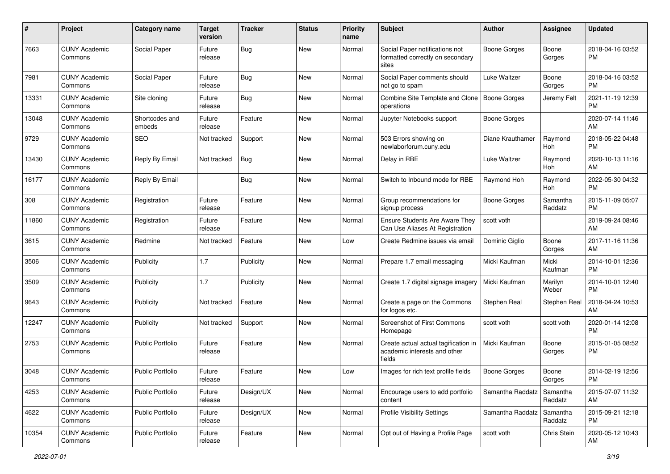| #     | Project                         | <b>Category name</b>     | <b>Target</b><br>version | <b>Tracker</b> | <b>Status</b> | <b>Priority</b><br>name | <b>Subject</b>                                                                 | Author           | Assignee            | <b>Updated</b>                |
|-------|---------------------------------|--------------------------|--------------------------|----------------|---------------|-------------------------|--------------------------------------------------------------------------------|------------------|---------------------|-------------------------------|
| 7663  | <b>CUNY Academic</b><br>Commons | Social Paper             | Future<br>release        | Bug            | New           | Normal                  | Social Paper notifications not<br>formatted correctly on secondary<br>sites    | Boone Gorges     | Boone<br>Gorges     | 2018-04-16 03:52<br>PM.       |
| 7981  | <b>CUNY Academic</b><br>Commons | Social Paper             | Future<br>release        | Bug            | New           | Normal                  | Social Paper comments should<br>not go to spam                                 | Luke Waltzer     | Boone<br>Gorges     | 2018-04-16 03:52<br>PM.       |
| 13331 | <b>CUNY Academic</b><br>Commons | Site cloning             | Future<br>release        | Bug            | New           | Normal                  | Combine Site Template and Clone<br>operations                                  | Boone Gorges     | Jeremy Felt         | 2021-11-19 12:39<br><b>PM</b> |
| 13048 | <b>CUNY Academic</b><br>Commons | Shortcodes and<br>embeds | Future<br>release        | Feature        | New           | Normal                  | Jupyter Notebooks support                                                      | Boone Gorges     |                     | 2020-07-14 11:46<br>AM        |
| 9729  | <b>CUNY Academic</b><br>Commons | <b>SEO</b>               | Not tracked              | Support        | New           | Normal                  | 503 Errors showing on<br>newlaborforum.cuny.edu                                | Diane Krauthamer | Raymond<br>Hoh      | 2018-05-22 04:48<br><b>PM</b> |
| 13430 | <b>CUNY Academic</b><br>Commons | Reply By Email           | Not tracked              | Bug            | New           | Normal                  | Delay in RBE                                                                   | Luke Waltzer     | Raymond<br>Hoh      | 2020-10-13 11:16<br>AM        |
| 16177 | <b>CUNY Academic</b><br>Commons | Reply By Email           |                          | <b>Bug</b>     | New           | Normal                  | Switch to Inbound mode for RBE                                                 | Raymond Hoh      | Raymond<br>Hoh      | 2022-05-30 04:32<br><b>PM</b> |
| 308   | <b>CUNY Academic</b><br>Commons | Registration             | Future<br>release        | Feature        | New           | Normal                  | Group recommendations for<br>signup process                                    | Boone Gorges     | Samantha<br>Raddatz | 2015-11-09 05:07<br><b>PM</b> |
| 11860 | <b>CUNY Academic</b><br>Commons | Registration             | Future<br>release        | Feature        | New           | Normal                  | Ensure Students Are Aware They<br>Can Use Aliases At Registration              | scott voth       |                     | 2019-09-24 08:46<br>AM        |
| 3615  | <b>CUNY Academic</b><br>Commons | Redmine                  | Not tracked              | Feature        | New           | Low                     | Create Redmine issues via email                                                | Dominic Giglio   | Boone<br>Gorges     | 2017-11-16 11:36<br>AM        |
| 3506  | <b>CUNY Academic</b><br>Commons | Publicity                | 1.7                      | Publicity      | New           | Normal                  | Prepare 1.7 email messaging                                                    | Micki Kaufman    | Micki<br>Kaufman    | 2014-10-01 12:36<br><b>PM</b> |
| 3509  | <b>CUNY Academic</b><br>Commons | Publicity                | 1.7                      | Publicity      | New           | Normal                  | Create 1.7 digital signage imagery                                             | Micki Kaufman    | Marilyn<br>Weber    | 2014-10-01 12:40<br><b>PM</b> |
| 9643  | <b>CUNY Academic</b><br>Commons | Publicity                | Not tracked              | Feature        | New           | Normal                  | Create a page on the Commons<br>for logos etc.                                 | Stephen Real     | Stephen Real        | 2018-04-24 10:53<br>AM        |
| 12247 | <b>CUNY Academic</b><br>Commons | Publicity                | Not tracked              | Support        | New           | Normal                  | Screenshot of First Commons<br>Homepage                                        | scott voth       | scott voth          | 2020-01-14 12:08<br><b>PM</b> |
| 2753  | <b>CUNY Academic</b><br>Commons | Public Portfolio         | Future<br>release        | Feature        | New           | Normal                  | Create actual actual tagification in<br>academic interests and other<br>fields | Micki Kaufman    | Boone<br>Gorges     | 2015-01-05 08:52<br><b>PM</b> |
| 3048  | <b>CUNY Academic</b><br>Commons | <b>Public Portfolio</b>  | Future<br>reiease        | Feature        | New           | Low                     | Images for rich text profile fields                                            | Boone Gorges     | Boone<br>Gorges     | 2014-02-19 12:56<br>PM        |
| 4253  | <b>CUNY Academic</b><br>Commons | <b>Public Portfolio</b>  | Future<br>release        | Design/UX      | New           | Normal                  | Encourage users to add portfolio<br>content                                    | Samantha Raddatz | Samantha<br>Raddatz | 2015-07-07 11:32<br>AM        |
| 4622  | <b>CUNY Academic</b><br>Commons | <b>Public Portfolio</b>  | Future<br>release        | Design/UX      | New           | Normal                  | <b>Profile Visibility Settings</b>                                             | Samantha Raddatz | Samantha<br>Raddatz | 2015-09-21 12:18<br><b>PM</b> |
| 10354 | <b>CUNY Academic</b><br>Commons | Public Portfolio         | Future<br>release        | Feature        | New           | Normal                  | Opt out of Having a Profile Page                                               | scott voth       | Chris Stein         | 2020-05-12 10:43<br>AM        |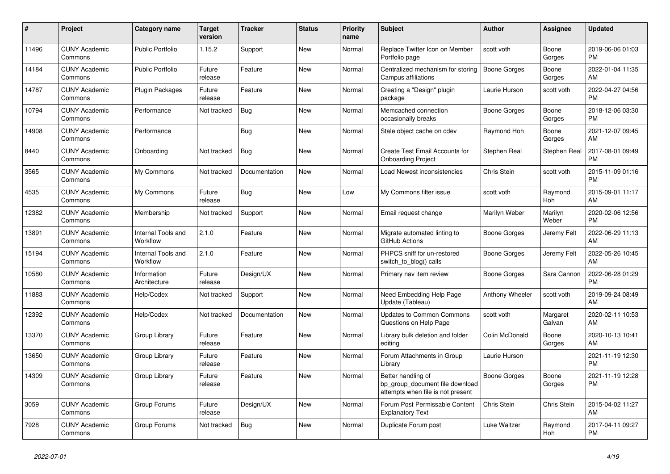| $\pmb{\#}$ | <b>Project</b>                  | Category name                         | <b>Target</b><br>version | <b>Tracker</b> | <b>Status</b> | <b>Priority</b><br>name | <b>Subject</b>                                                                             | <b>Author</b>       | Assignee           | <b>Updated</b>                |
|------------|---------------------------------|---------------------------------------|--------------------------|----------------|---------------|-------------------------|--------------------------------------------------------------------------------------------|---------------------|--------------------|-------------------------------|
| 11496      | <b>CUNY Academic</b><br>Commons | <b>Public Portfolio</b>               | 1.15.2                   | Support        | <b>New</b>    | Normal                  | Replace Twitter Icon on Member<br>Portfolio page                                           | scott voth          | Boone<br>Gorges    | 2019-06-06 01:03<br><b>PM</b> |
| 14184      | <b>CUNY Academic</b><br>Commons | <b>Public Portfolio</b>               | Future<br>release        | Feature        | <b>New</b>    | Normal                  | Centralized mechanism for storing<br>Campus affiliations                                   | Boone Gorges        | Boone<br>Gorges    | 2022-01-04 11:35<br>AM        |
| 14787      | <b>CUNY Academic</b><br>Commons | <b>Plugin Packages</b>                | Future<br>release        | Feature        | <b>New</b>    | Normal                  | Creating a "Design" plugin<br>package                                                      | Laurie Hurson       | scott voth         | 2022-04-27 04:56<br><b>PM</b> |
| 10794      | <b>CUNY Academic</b><br>Commons | Performance                           | Not tracked              | Bug            | <b>New</b>    | Normal                  | Memcached connection<br>occasionally breaks                                                | Boone Gorges        | Boone<br>Gorges    | 2018-12-06 03:30<br><b>PM</b> |
| 14908      | <b>CUNY Academic</b><br>Commons | Performance                           |                          | Bug            | New           | Normal                  | Stale object cache on cdev                                                                 | Raymond Hoh         | Boone<br>Gorges    | 2021-12-07 09:45<br>AM        |
| 8440       | <b>CUNY Academic</b><br>Commons | Onboarding                            | Not tracked              | <b>Bug</b>     | <b>New</b>    | Normal                  | Create Test Email Accounts for<br><b>Onboarding Project</b>                                | Stephen Real        | Stephen Real       | 2017-08-01 09:49<br><b>PM</b> |
| 3565       | <b>CUNY Academic</b><br>Commons | My Commons                            | Not tracked              | Documentation  | <b>New</b>    | Normal                  | Load Newest inconsistencies                                                                | Chris Stein         | scott voth         | 2015-11-09 01:16<br><b>PM</b> |
| 4535       | <b>CUNY Academic</b><br>Commons | My Commons                            | Future<br>release        | Bug            | <b>New</b>    | Low                     | My Commons filter issue                                                                    | scott voth          | Raymond<br>Hoh     | 2015-09-01 11:17<br>AM        |
| 12382      | <b>CUNY Academic</b><br>Commons | Membership                            | Not tracked              | Support        | <b>New</b>    | Normal                  | Email request change                                                                       | Marilyn Weber       | Marilyn<br>Weber   | 2020-02-06 12:56<br><b>PM</b> |
| 13891      | <b>CUNY Academic</b><br>Commons | <b>Internal Tools and</b><br>Workflow | 2.1.0                    | Feature        | New           | Normal                  | Migrate automated linting to<br>GitHub Actions                                             | Boone Gorges        | Jeremy Felt        | 2022-06-29 11:13<br>AM        |
| 15194      | <b>CUNY Academic</b><br>Commons | Internal Tools and<br>Workflow        | 2.1.0                    | Feature        | <b>New</b>    | Normal                  | PHPCS sniff for un-restored<br>switch_to_blog() calls                                      | Boone Gorges        | Jeremy Felt        | 2022-05-26 10:45<br>AM        |
| 10580      | <b>CUNY Academic</b><br>Commons | Information<br>Architecture           | Future<br>release        | Design/UX      | <b>New</b>    | Normal                  | Primary nav item review                                                                    | Boone Gorges        | Sara Cannon        | 2022-06-28 01:29<br><b>PM</b> |
| 11883      | <b>CUNY Academic</b><br>Commons | Help/Codex                            | Not tracked              | Support        | New           | Normal                  | Need Embedding Help Page<br>Update (Tableau)                                               | Anthony Wheeler     | scott voth         | 2019-09-24 08:49<br>AM        |
| 12392      | <b>CUNY Academic</b><br>Commons | Help/Codex                            | Not tracked              | Documentation  | New           | Normal                  | Updates to Common Commons<br>Questions on Help Page                                        | scott voth          | Margaret<br>Galvan | 2020-02-11 10:53<br>AM        |
| 13370      | <b>CUNY Academic</b><br>Commons | Group Library                         | Future<br>release        | Feature        | <b>New</b>    | Normal                  | Library bulk deletion and folder<br>editing                                                | Colin McDonald      | Boone<br>Gorges    | 2020-10-13 10:41<br>AM        |
| 13650      | <b>CUNY Academic</b><br>Commons | Group Library                         | Future<br>release        | Feature        | <b>New</b>    | Normal                  | Forum Attachments in Group<br>Library                                                      | Laurie Hurson       |                    | 2021-11-19 12:30<br><b>PM</b> |
| 14309      | <b>CUNY Academic</b><br>Commons | Group Library                         | Future<br>release        | Feature        | <b>New</b>    | Normal                  | Better handling of<br>bp group document file download<br>attempts when file is not present | <b>Boone Gorges</b> | Boone<br>Gorges    | 2021-11-19 12:28<br><b>PM</b> |
| 3059       | <b>CUNY Academic</b><br>Commons | Group Forums                          | Future<br>release        | Design/UX      | New           | Normal                  | Forum Post Permissable Content<br><b>Explanatory Text</b>                                  | Chris Stein         | Chris Stein        | 2015-04-02 11:27<br>AM        |
| 7928       | <b>CUNY Academic</b><br>Commons | Group Forums                          | Not tracked              | <b>Bug</b>     | <b>New</b>    | Normal                  | Duplicate Forum post                                                                       | Luke Waltzer        | Raymond<br>Hoh     | 2017-04-11 09:27<br><b>PM</b> |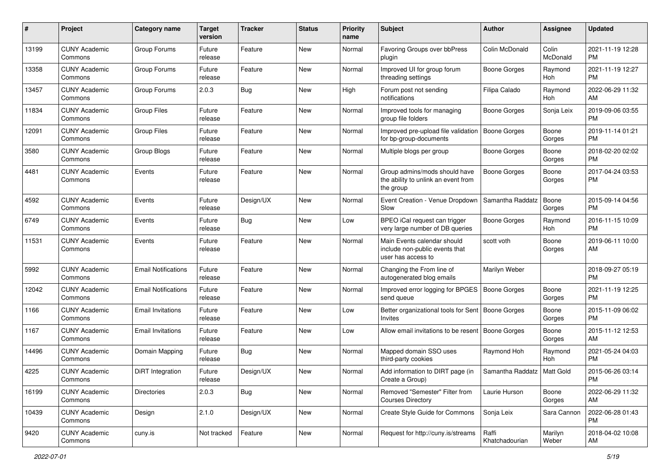| #     | Project                         | <b>Category name</b>       | <b>Target</b><br>version | <b>Tracker</b> | <b>Status</b> | <b>Priority</b><br>name | Subject                                                                             | Author                  | Assignee          | <b>Updated</b>                |
|-------|---------------------------------|----------------------------|--------------------------|----------------|---------------|-------------------------|-------------------------------------------------------------------------------------|-------------------------|-------------------|-------------------------------|
| 13199 | <b>CUNY Academic</b><br>Commons | Group Forums               | Future<br>release        | Feature        | <b>New</b>    | Normal                  | Favoring Groups over bbPress<br>plugin                                              | Colin McDonald          | Colin<br>McDonald | 2021-11-19 12:28<br><b>PM</b> |
| 13358 | <b>CUNY Academic</b><br>Commons | Group Forums               | Future<br>release        | Feature        | New           | Normal                  | Improved UI for group forum<br>threading settings                                   | Boone Gorges            | Raymond<br>Hoh    | 2021-11-19 12:27<br><b>PM</b> |
| 13457 | <b>CUNY Academic</b><br>Commons | Group Forums               | 2.0.3                    | Bug            | New           | High                    | Forum post not sending<br>notifications                                             | Filipa Calado           | Raymond<br>Hoh    | 2022-06-29 11:32<br>AM        |
| 11834 | <b>CUNY Academic</b><br>Commons | <b>Group Files</b>         | Future<br>release        | Feature        | <b>New</b>    | Normal                  | Improved tools for managing<br>group file folders                                   | <b>Boone Gorges</b>     | Sonja Leix        | 2019-09-06 03:55<br><b>PM</b> |
| 12091 | <b>CUNY Academic</b><br>Commons | <b>Group Files</b>         | Future<br>release        | Feature        | New           | Normal                  | Improved pre-upload file validation<br>for bp-group-documents                       | Boone Gorges            | Boone<br>Gorges   | 2019-11-14 01:21<br><b>PM</b> |
| 3580  | <b>CUNY Academic</b><br>Commons | Group Blogs                | Future<br>release        | Feature        | <b>New</b>    | Normal                  | Multiple blogs per group                                                            | Boone Gorges            | Boone<br>Gorges   | 2018-02-20 02:02<br><b>PM</b> |
| 4481  | <b>CUNY Academic</b><br>Commons | Events                     | Future<br>release        | Feature        | New           | Normal                  | Group admins/mods should have<br>the ability to unlink an event from<br>the group   | <b>Boone Gorges</b>     | Boone<br>Gorges   | 2017-04-24 03:53<br><b>PM</b> |
| 4592  | <b>CUNY Academic</b><br>Commons | Events                     | Future<br>release        | Design/UX      | <b>New</b>    | Normal                  | Event Creation - Venue Dropdown<br>Slow                                             | Samantha Raddatz        | Boone<br>Gorges   | 2015-09-14 04:56<br><b>PM</b> |
| 6749  | <b>CUNY Academic</b><br>Commons | Events                     | Future<br>release        | Bug            | <b>New</b>    | Low                     | BPEO iCal request can trigger<br>very large number of DB queries                    | <b>Boone Gorges</b>     | Raymond<br>Hoh    | 2016-11-15 10:09<br><b>PM</b> |
| 11531 | <b>CUNY Academic</b><br>Commons | Events                     | Future<br>release        | Feature        | New           | Normal                  | Main Events calendar should<br>include non-public events that<br>user has access to | scott voth              | Boone<br>Gorges   | 2019-06-11 10:00<br>AM        |
| 5992  | <b>CUNY Academic</b><br>Commons | <b>Email Notifications</b> | Future<br>release        | Feature        | <b>New</b>    | Normal                  | Changing the From line of<br>autogenerated blog emails                              | Marilyn Weber           |                   | 2018-09-27 05:19<br><b>PM</b> |
| 12042 | <b>CUNY Academic</b><br>Commons | <b>Email Notifications</b> | Future<br>release        | Feature        | <b>New</b>    | Normal                  | Improved error logging for BPGES<br>send queue                                      | Boone Gorges            | Boone<br>Gorges   | 2021-11-19 12:25<br><b>PM</b> |
| 1166  | <b>CUNY Academic</b><br>Commons | <b>Email Invitations</b>   | Future<br>release        | Feature        | <b>New</b>    | Low                     | Better organizational tools for Sent   Boone Gorges<br><b>Invites</b>               |                         | Boone<br>Gorges   | 2015-11-09 06:02<br><b>PM</b> |
| 1167  | <b>CUNY Academic</b><br>Commons | <b>Email Invitations</b>   | Future<br>release        | Feature        | <b>New</b>    | Low                     | Allow email invitations to be resent   Boone Gorges                                 |                         | Boone<br>Gorges   | 2015-11-12 12:53<br>AM        |
| 14496 | <b>CUNY Academic</b><br>Commons | Domain Mapping             | Future<br>release        | Bug            | New           | Normal                  | Mapped domain SSO uses<br>third-party cookies                                       | Raymond Hoh             | Raymond<br>Hoh    | 2021-05-24 04:03<br><b>PM</b> |
| 4225  | <b>CUNY Academic</b><br>Commons | DiRT Integration           | Future<br>release        | Design/UX      | New           | Normal                  | Add information to DIRT page (in<br>Create a Group)                                 | Samantha Raddatz        | Matt Gold         | 2015-06-26 03:14<br>PM        |
| 16199 | <b>CUNY Academic</b><br>Commons | <b>Directories</b>         | 2.0.3                    | <b>Bug</b>     | New           | Normal                  | Removed "Semester" Filter from<br><b>Courses Directory</b>                          | Laurie Hurson           | Boone<br>Gorges   | 2022-06-29 11:32<br>AM        |
| 10439 | <b>CUNY Academic</b><br>Commons | Design                     | 2.1.0                    | Design/UX      | New           | Normal                  | Create Style Guide for Commons                                                      | Sonja Leix              | Sara Cannon       | 2022-06-28 01:43<br><b>PM</b> |
| 9420  | <b>CUNY Academic</b><br>Commons | cuny.is                    | Not tracked              | Feature        | New           | Normal                  | Request for http://cuny.is/streams                                                  | Raffi<br>Khatchadourian | Marilyn<br>Weber  | 2018-04-02 10:08<br>AM        |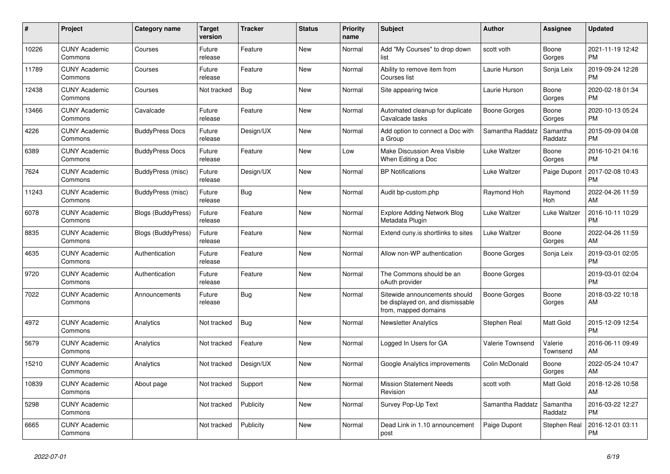| #     | <b>Project</b>                  | <b>Category name</b>      | <b>Target</b><br>version | <b>Tracker</b> | <b>Status</b> | <b>Priority</b><br>name | <b>Subject</b>                                                                            | <b>Author</b>    | Assignee            | <b>Updated</b>                |
|-------|---------------------------------|---------------------------|--------------------------|----------------|---------------|-------------------------|-------------------------------------------------------------------------------------------|------------------|---------------------|-------------------------------|
| 10226 | <b>CUNY Academic</b><br>Commons | Courses                   | Future<br>release        | Feature        | New           | Normal                  | Add "My Courses" to drop down<br>list                                                     | scott voth       | Boone<br>Gorges     | 2021-11-19 12:42<br><b>PM</b> |
| 11789 | <b>CUNY Academic</b><br>Commons | Courses                   | Future<br>release        | Feature        | New           | Normal                  | Ability to remove item from<br>Courses list                                               | Laurie Hurson    | Sonja Leix          | 2019-09-24 12:28<br><b>PM</b> |
| 12438 | <b>CUNY Academic</b><br>Commons | Courses                   | Not tracked              | Bug            | <b>New</b>    | Normal                  | Site appearing twice                                                                      | Laurie Hurson    | Boone<br>Gorges     | 2020-02-18 01:34<br><b>PM</b> |
| 13466 | <b>CUNY Academic</b><br>Commons | Cavalcade                 | Future<br>release        | Feature        | <b>New</b>    | Normal                  | Automated cleanup for duplicate<br>Cavalcade tasks                                        | Boone Gorges     | Boone<br>Gorges     | 2020-10-13 05:24<br><b>PM</b> |
| 4226  | <b>CUNY Academic</b><br>Commons | <b>BuddyPress Docs</b>    | Future<br>release        | Design/UX      | <b>New</b>    | Normal                  | Add option to connect a Doc with<br>a Group                                               | Samantha Raddatz | Samantha<br>Raddatz | 2015-09-09 04:08<br><b>PM</b> |
| 6389  | <b>CUNY Academic</b><br>Commons | <b>BuddyPress Docs</b>    | Future<br>release        | Feature        | New           | Low                     | Make Discussion Area Visible<br>When Editing a Doc                                        | Luke Waltzer     | Boone<br>Gorges     | 2016-10-21 04:16<br><b>PM</b> |
| 7624  | <b>CUNY Academic</b><br>Commons | BuddyPress (misc)         | Future<br>release        | Design/UX      | <b>New</b>    | Normal                  | <b>BP Notifications</b>                                                                   | Luke Waltzer     | Paige Dupont        | 2017-02-08 10:43<br><b>PM</b> |
| 11243 | <b>CUNY Academic</b><br>Commons | BuddyPress (misc)         | Future<br>release        | Bug            | <b>New</b>    | Normal                  | Audit bp-custom.php                                                                       | Raymond Hoh      | Raymond<br>Hoh      | 2022-04-26 11:59<br>AM        |
| 6078  | <b>CUNY Academic</b><br>Commons | <b>Blogs (BuddyPress)</b> | Future<br>release        | Feature        | New           | Normal                  | <b>Explore Adding Network Blog</b><br>Metadata Plugin                                     | Luke Waltzer     | Luke Waltzer        | 2016-10-11 10:29<br><b>PM</b> |
| 8835  | <b>CUNY Academic</b><br>Commons | <b>Blogs (BuddyPress)</b> | Future<br>release        | Feature        | <b>New</b>    | Normal                  | Extend cuny is shortlinks to sites                                                        | Luke Waltzer     | Boone<br>Gorges     | 2022-04-26 11:59<br>AM        |
| 4635  | <b>CUNY Academic</b><br>Commons | Authentication            | Future<br>release        | Feature        | New           | Normal                  | Allow non-WP authentication                                                               | Boone Gorges     | Sonja Leix          | 2019-03-01 02:05<br><b>PM</b> |
| 9720  | <b>CUNY Academic</b><br>Commons | Authentication            | Future<br>release        | Feature        | New           | Normal                  | The Commons should be an<br>oAuth provider                                                | Boone Gorges     |                     | 2019-03-01 02:04<br><b>PM</b> |
| 7022  | <b>CUNY Academic</b><br>Commons | Announcements             | Future<br>release        | <b>Bug</b>     | <b>New</b>    | Normal                  | Sitewide announcements should<br>be displayed on, and dismissable<br>from, mapped domains | Boone Gorges     | Boone<br>Gorges     | 2018-03-22 10:18<br>AM        |
| 4972  | <b>CUNY Academic</b><br>Commons | Analytics                 | Not tracked              | Bug            | New           | Normal                  | <b>Newsletter Analytics</b>                                                               | Stephen Real     | Matt Gold           | 2015-12-09 12:54<br><b>PM</b> |
| 5679  | <b>CUNY Academic</b><br>Commons | Analytics                 | Not tracked              | Feature        | <b>New</b>    | Normal                  | Logged In Users for GA                                                                    | Valerie Townsend | Valerie<br>Townsend | 2016-06-11 09:49<br>AM        |
| 15210 | <b>CUNY Academic</b><br>Commons | Analytics                 | Not tracked              | Design/UX      | <b>New</b>    | Normal                  | Google Analytics improvements                                                             | Colin McDonald   | Boone<br>Gorges     | 2022-05-24 10:47<br>AM        |
| 10839 | <b>CUNY Academic</b><br>Commons | About page                | Not tracked              | Support        | New           | Normal                  | <b>Mission Statement Needs</b><br>Revision                                                | scott voth       | Matt Gold           | 2018-12-26 10:58<br>AM        |
| 5298  | <b>CUNY Academic</b><br>Commons |                           | Not tracked              | Publicity      | <b>New</b>    | Normal                  | Survey Pop-Up Text                                                                        | Samantha Raddatz | Samantha<br>Raddatz | 2016-03-22 12:27<br><b>PM</b> |
| 6665  | <b>CUNY Academic</b><br>Commons |                           | Not tracked              | Publicity      | <b>New</b>    | Normal                  | Dead Link in 1.10 announcement<br>post                                                    | Paige Dupont     | Stephen Real        | 2016-12-01 03:11<br><b>PM</b> |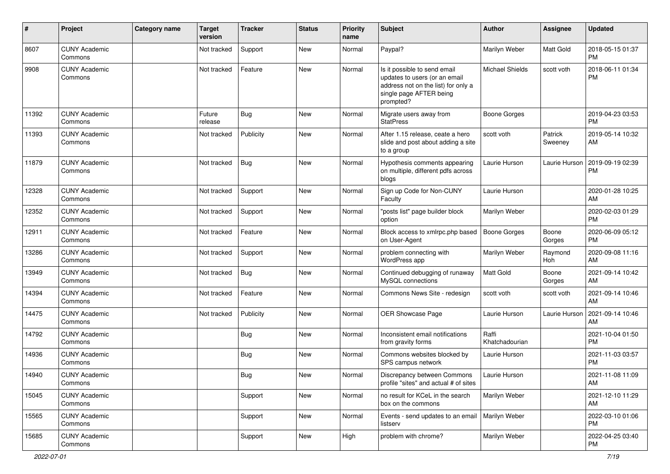| #     | Project                         | <b>Category name</b> | <b>Target</b><br>version | <b>Tracker</b> | <b>Status</b> | <b>Priority</b><br>name | <b>Subject</b>                                                                                                                               | <b>Author</b>           | <b>Assignee</b>    | <b>Updated</b>                |
|-------|---------------------------------|----------------------|--------------------------|----------------|---------------|-------------------------|----------------------------------------------------------------------------------------------------------------------------------------------|-------------------------|--------------------|-------------------------------|
| 8607  | <b>CUNY Academic</b><br>Commons |                      | Not tracked              | Support        | New           | Normal                  | Paypal?                                                                                                                                      | Marilyn Weber           | Matt Gold          | 2018-05-15 01:37<br><b>PM</b> |
| 9908  | <b>CUNY Academic</b><br>Commons |                      | Not tracked              | Feature        | New           | Normal                  | Is it possible to send email<br>updates to users (or an email<br>address not on the list) for only a<br>single page AFTER being<br>prompted? | <b>Michael Shields</b>  | scott voth         | 2018-06-11 01:34<br><b>PM</b> |
| 11392 | <b>CUNY Academic</b><br>Commons |                      | Future<br>release        | <b>Bug</b>     | <b>New</b>    | Normal                  | Migrate users away from<br><b>StatPress</b>                                                                                                  | <b>Boone Gorges</b>     |                    | 2019-04-23 03:53<br><b>PM</b> |
| 11393 | <b>CUNY Academic</b><br>Commons |                      | Not tracked              | Publicity      | New           | Normal                  | After 1.15 release, ceate a hero<br>slide and post about adding a site<br>to a group                                                         | scott voth              | Patrick<br>Sweeney | 2019-05-14 10:32<br>AM        |
| 11879 | <b>CUNY Academic</b><br>Commons |                      | Not tracked              | <b>Bug</b>     | <b>New</b>    | Normal                  | Hypothesis comments appearing<br>on multiple, different pdfs across<br>blogs                                                                 | Laurie Hurson           | Laurie Hurson      | 2019-09-19 02:39<br>PM        |
| 12328 | <b>CUNY Academic</b><br>Commons |                      | Not tracked              | Support        | <b>New</b>    | Normal                  | Sign up Code for Non-CUNY<br>Faculty                                                                                                         | Laurie Hurson           |                    | 2020-01-28 10:25<br>AM        |
| 12352 | <b>CUNY Academic</b><br>Commons |                      | Not tracked              | Support        | <b>New</b>    | Normal                  | "posts list" page builder block<br>option                                                                                                    | Marilyn Weber           |                    | 2020-02-03 01:29<br>PM        |
| 12911 | <b>CUNY Academic</b><br>Commons |                      | Not tracked              | Feature        | <b>New</b>    | Normal                  | Block access to xmlrpc.php based<br>on User-Agent                                                                                            | <b>Boone Gorges</b>     | Boone<br>Gorges    | 2020-06-09 05:12<br><b>PM</b> |
| 13286 | <b>CUNY Academic</b><br>Commons |                      | Not tracked              | Support        | <b>New</b>    | Normal                  | problem connecting with<br>WordPress app                                                                                                     | Marilyn Weber           | Raymond<br>Hoh     | 2020-09-08 11:16<br>AM        |
| 13949 | CUNY Academic<br>Commons        |                      | Not tracked              | <b>Bug</b>     | New           | Normal                  | Continued debugging of runaway<br>MySQL connections                                                                                          | Matt Gold               | Boone<br>Gorges    | 2021-09-14 10:42<br>AM        |
| 14394 | <b>CUNY Academic</b><br>Commons |                      | Not tracked              | Feature        | <b>New</b>    | Normal                  | Commons News Site - redesign                                                                                                                 | scott voth              | scott voth         | 2021-09-14 10:46<br>AM        |
| 14475 | <b>CUNY Academic</b><br>Commons |                      | Not tracked              | Publicity      | <b>New</b>    | Normal                  | OER Showcase Page                                                                                                                            | Laurie Hurson           | Laurie Hurson      | 2021-09-14 10:46<br>AM        |
| 14792 | <b>CUNY Academic</b><br>Commons |                      |                          | <b>Bug</b>     | <b>New</b>    | Normal                  | Inconsistent email notifications<br>from gravity forms                                                                                       | Raffi<br>Khatchadourian |                    | 2021-10-04 01:50<br><b>PM</b> |
| 14936 | <b>CUNY Academic</b><br>Commons |                      |                          | Bug            | New           | Normal                  | Commons websites blocked by<br>SPS campus network                                                                                            | Laurie Hurson           |                    | 2021-11-03 03:57<br><b>PM</b> |
| 14940 | <b>CUNY Academic</b><br>Commons |                      |                          | Bug            | New           | Normal                  | Discrepancy between Commons<br>profile "sites" and actual # of sites                                                                         | Laurie Hurson           |                    | 2021-11-08 11:09<br>AM        |
| 15045 | <b>CUNY Academic</b><br>Commons |                      |                          | Support        | New           | Normal                  | no result for KCeL in the search<br>box on the commons                                                                                       | Marilyn Weber           |                    | 2021-12-10 11:29<br>AM        |
| 15565 | <b>CUNY Academic</b><br>Commons |                      |                          | Support        | New           | Normal                  | Events - send updates to an email<br>listserv                                                                                                | Marilyn Weber           |                    | 2022-03-10 01:06<br>PM        |
| 15685 | <b>CUNY Academic</b><br>Commons |                      |                          | Support        | New           | High                    | problem with chrome?                                                                                                                         | Marilyn Weber           |                    | 2022-04-25 03:40<br>PM        |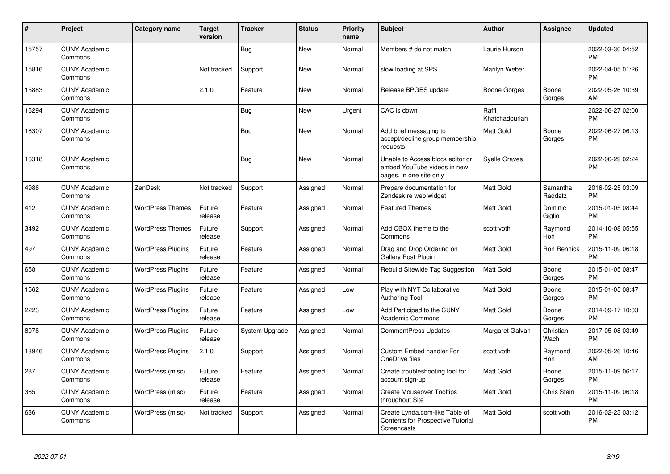| #     | Project                         | <b>Category name</b>     | <b>Target</b><br>version | <b>Tracker</b> | <b>Status</b> | <b>Priority</b><br>name | <b>Subject</b>                                                                             | <b>Author</b>           | <b>Assignee</b>     | <b>Updated</b>                |
|-------|---------------------------------|--------------------------|--------------------------|----------------|---------------|-------------------------|--------------------------------------------------------------------------------------------|-------------------------|---------------------|-------------------------------|
| 15757 | <b>CUNY Academic</b><br>Commons |                          |                          | <b>Bug</b>     | <b>New</b>    | Normal                  | Members # do not match                                                                     | Laurie Hurson           |                     | 2022-03-30 04:52<br><b>PM</b> |
| 15816 | <b>CUNY Academic</b><br>Commons |                          | Not tracked              | Support        | <b>New</b>    | Normal                  | slow loading at SPS                                                                        | Marilyn Weber           |                     | 2022-04-05 01:26<br><b>PM</b> |
| 15883 | <b>CUNY Academic</b><br>Commons |                          | 2.1.0                    | Feature        | <b>New</b>    | Normal                  | Release BPGES update                                                                       | Boone Gorges            | Boone<br>Gorges     | 2022-05-26 10:39<br>AM        |
| 16294 | <b>CUNY Academic</b><br>Commons |                          |                          | Bug            | <b>New</b>    | Urgent                  | CAC is down                                                                                | Raffi<br>Khatchadourian |                     | 2022-06-27 02:00<br><b>PM</b> |
| 16307 | <b>CUNY Academic</b><br>Commons |                          |                          | <b>Bug</b>     | <b>New</b>    | Normal                  | Add brief messaging to<br>accept/decline group membership<br>requests                      | <b>Matt Gold</b>        | Boone<br>Gorges     | 2022-06-27 06:13<br><b>PM</b> |
| 16318 | <b>CUNY Academic</b><br>Commons |                          |                          | <b>Bug</b>     | <b>New</b>    | Normal                  | Unable to Access block editor or<br>embed YouTube videos in new<br>pages, in one site only | <b>Syelle Graves</b>    |                     | 2022-06-29 02:24<br><b>PM</b> |
| 4986  | <b>CUNY Academic</b><br>Commons | ZenDesk                  | Not tracked              | Support        | Assigned      | Normal                  | Prepare documentation for<br>Zendesk re web widget                                         | <b>Matt Gold</b>        | Samantha<br>Raddatz | 2016-02-25 03:09<br><b>PM</b> |
| 412   | <b>CUNY Academic</b><br>Commons | <b>WordPress Themes</b>  | Future<br>release        | Feature        | Assigned      | Normal                  | <b>Featured Themes</b>                                                                     | <b>Matt Gold</b>        | Dominic<br>Giglio   | 2015-01-05 08:44<br><b>PM</b> |
| 3492  | <b>CUNY Academic</b><br>Commons | <b>WordPress Themes</b>  | Future<br>release        | Support        | Assigned      | Normal                  | Add CBOX theme to the<br>Commons                                                           | scott voth              | Raymond<br>Hoh      | 2014-10-08 05:55<br><b>PM</b> |
| 497   | <b>CUNY Academic</b><br>Commons | <b>WordPress Plugins</b> | Future<br>release        | Feature        | Assigned      | Normal                  | Drag and Drop Ordering on<br><b>Gallery Post Plugin</b>                                    | <b>Matt Gold</b>        | Ron Rennick         | 2015-11-09 06:18<br><b>PM</b> |
| 658   | <b>CUNY Academic</b><br>Commons | <b>WordPress Plugins</b> | Future<br>release        | Feature        | Assigned      | Normal                  | Rebulid Sitewide Tag Suggestion                                                            | Matt Gold               | Boone<br>Gorges     | 2015-01-05 08:47<br><b>PM</b> |
| 1562  | <b>CUNY Academic</b><br>Commons | <b>WordPress Plugins</b> | Future<br>release        | Feature        | Assigned      | Low                     | Play with NYT Collaborative<br><b>Authoring Tool</b>                                       | <b>Matt Gold</b>        | Boone<br>Gorges     | 2015-01-05 08:47<br><b>PM</b> |
| 2223  | <b>CUNY Academic</b><br>Commons | <b>WordPress Plugins</b> | Future<br>release        | Feature        | Assigned      | Low                     | Add Participad to the CUNY<br><b>Academic Commons</b>                                      | Matt Gold               | Boone<br>Gorges     | 2014-09-17 10:03<br><b>PM</b> |
| 8078  | <b>CUNY Academic</b><br>Commons | <b>WordPress Plugins</b> | Future<br>release        | System Upgrade | Assigned      | Normal                  | <b>CommentPress Updates</b>                                                                | Margaret Galvan         | Christian<br>Wach   | 2017-05-08 03:49<br><b>PM</b> |
| 13946 | <b>CUNY Academic</b><br>Commons | <b>WordPress Plugins</b> | 2.1.0                    | Support        | Assigned      | Normal                  | Custom Embed handler For<br>OneDrive files                                                 | scott voth              | Raymond<br>Hoh      | 2022-05-26 10:46<br>AM        |
| 287   | <b>CUNY Academic</b><br>Commons | WordPress (misc)         | Future<br>release        | Feature        | Assigned      | Normal                  | Create troubleshooting tool for<br>account sign-up                                         | <b>Matt Gold</b>        | Boone<br>Gorges     | 2015-11-09 06:17<br><b>PM</b> |
| 365   | <b>CUNY Academic</b><br>Commons | WordPress (misc)         | Future<br>release        | Feature        | Assigned      | Normal                  | <b>Create Mouseover Tooltips</b><br>throughout Site                                        | <b>Matt Gold</b>        | Chris Stein         | 2015-11-09 06:18<br><b>PM</b> |
| 636   | <b>CUNY Academic</b><br>Commons | WordPress (misc)         | Not tracked              | Support        | Assigned      | Normal                  | Create Lynda.com-like Table of<br>Contents for Prospective Tutorial<br>Screencasts         | <b>Matt Gold</b>        | scott voth          | 2016-02-23 03:12<br><b>PM</b> |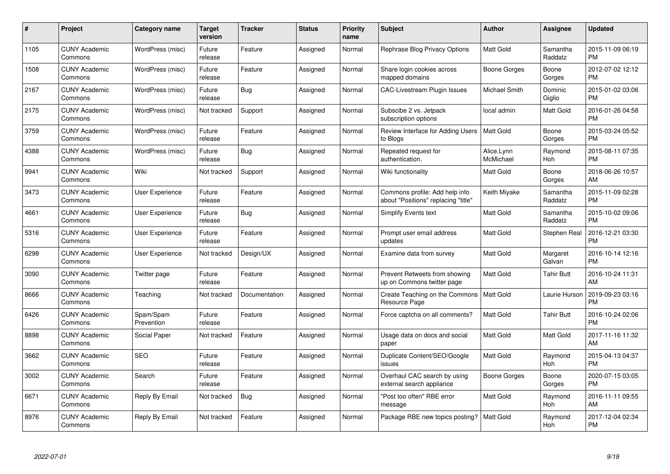| $\#$ | Project                         | <b>Category name</b>    | Target<br>version | <b>Tracker</b> | <b>Status</b> | Priority<br>name | <b>Subject</b>                                                        | <b>Author</b>           | <b>Assignee</b>     | <b>Updated</b>                |
|------|---------------------------------|-------------------------|-------------------|----------------|---------------|------------------|-----------------------------------------------------------------------|-------------------------|---------------------|-------------------------------|
| 1105 | <b>CUNY Academic</b><br>Commons | WordPress (misc)        | Future<br>release | Feature        | Assigned      | Normal           | Rephrase Blog Privacy Options                                         | <b>Matt Gold</b>        | Samantha<br>Raddatz | 2015-11-09 06:19<br><b>PM</b> |
| 1508 | <b>CUNY Academic</b><br>Commons | WordPress (misc)        | Future<br>release | Feature        | Assigned      | Normal           | Share login cookies across<br>mapped domains                          | Boone Gorges            | Boone<br>Gorges     | 2012-07-02 12:12<br><b>PM</b> |
| 2167 | <b>CUNY Academic</b><br>Commons | WordPress (misc)        | Future<br>release | Bug            | Assigned      | Normal           | CAC-Livestream Plugin Issues                                          | Michael Smith           | Dominic<br>Giglio   | 2015-01-02 03:06<br><b>PM</b> |
| 2175 | <b>CUNY Academic</b><br>Commons | WordPress (misc)        | Not tracked       | Support        | Assigned      | Normal           | Subscibe 2 vs. Jetpack<br>subscription options                        | local admin             | Matt Gold           | 2016-01-26 04:58<br><b>PM</b> |
| 3759 | <b>CUNY Academic</b><br>Commons | WordPress (misc)        | Future<br>release | Feature        | Assigned      | Normal           | Review Interface for Adding Users<br>to Blogs                         | <b>Matt Gold</b>        | Boone<br>Gorges     | 2015-03-24 05:52<br><b>PM</b> |
| 4388 | <b>CUNY Academic</b><br>Commons | WordPress (misc)        | Future<br>release | <b>Bug</b>     | Assigned      | Normal           | Repeated request for<br>authentication.                               | Alice.Lynn<br>McMichael | Raymond<br>Hoh      | 2015-08-11 07:35<br><b>PM</b> |
| 9941 | <b>CUNY Academic</b><br>Commons | Wiki                    | Not tracked       | Support        | Assigned      | Normal           | Wiki functionality                                                    | Matt Gold               | Boone<br>Gorges     | 2018-06-26 10:57<br>AM        |
| 3473 | <b>CUNY Academic</b><br>Commons | User Experience         | Future<br>release | Feature        | Assigned      | Normal           | Commons profile: Add help info<br>about "Positions" replacing "title" | Keith Miyake            | Samantha<br>Raddatz | 2015-11-09 02:28<br><b>PM</b> |
| 4661 | <b>CUNY Academic</b><br>Commons | <b>User Experience</b>  | Future<br>release | Bug            | Assigned      | Normal           | <b>Simplify Events text</b>                                           | Matt Gold               | Samantha<br>Raddatz | 2015-10-02 09:06<br><b>PM</b> |
| 5316 | <b>CUNY Academic</b><br>Commons | <b>User Experience</b>  | Future<br>release | Feature        | Assigned      | Normal           | Prompt user email address<br>updates                                  | <b>Matt Gold</b>        | Stephen Real        | 2016-12-21 03:30<br><b>PM</b> |
| 6298 | <b>CUNY Academic</b><br>Commons | User Experience         | Not tracked       | Design/UX      | Assigned      | Normal           | Examine data from survey                                              | Matt Gold               | Margaret<br>Galvan  | 2016-10-14 12:16<br><b>PM</b> |
| 3090 | <b>CUNY Academic</b><br>Commons | Twitter page            | Future<br>release | Feature        | Assigned      | Normal           | Prevent Retweets from showing<br>up on Commons twitter page           | Matt Gold               | <b>Tahir Butt</b>   | 2016-10-24 11:31<br>AM        |
| 8666 | <b>CUNY Academic</b><br>Commons | Teaching                | Not tracked       | Documentation  | Assigned      | Normal           | Create Teaching on the Commons<br>Resource Page                       | <b>Matt Gold</b>        | Laurie Hurson       | 2019-09-23 03:16<br><b>PM</b> |
| 6426 | <b>CUNY Academic</b><br>Commons | Spam/Spam<br>Prevention | Future<br>release | Feature        | Assigned      | Normal           | Force captcha on all comments?                                        | Matt Gold               | <b>Tahir Butt</b>   | 2016-10-24 02:06<br><b>PM</b> |
| 8898 | <b>CUNY Academic</b><br>Commons | Social Paper            | Not tracked       | Feature        | Assigned      | Normal           | Usage data on docs and social<br>paper                                | Matt Gold               | Matt Gold           | 2017-11-16 11:32<br>AM        |
| 3662 | <b>CUNY Academic</b><br>Commons | <b>SEO</b>              | Future<br>release | Feature        | Assigned      | Normal           | Duplicate Content/SEO/Google<br>issues                                | Matt Gold               | Raymond<br>Hoh      | 2015-04-13 04:37<br><b>PM</b> |
| 3002 | <b>CUNY Academic</b><br>Commons | Search                  | Future<br>release | Feature        | Assigned      | Normal           | Overhaul CAC search by using<br>external search appliance             | Boone Gorges            | Boone<br>Gorges     | 2020-07-15 03:05<br><b>PM</b> |
| 6671 | <b>CUNY Academic</b><br>Commons | Reply By Email          | Not tracked       | <b>Bug</b>     | Assigned      | Normal           | "Post too often" RBE error<br>message                                 | Matt Gold               | Raymond<br>Hoh      | 2016-11-11 09:55<br>AM        |
| 8976 | <b>CUNY Academic</b><br>Commons | Reply By Email          | Not tracked       | Feature        | Assigned      | Normal           | Package RBE new topics posting?                                       | <b>Matt Gold</b>        | Raymond<br>Hoh      | 2017-12-04 02:34<br><b>PM</b> |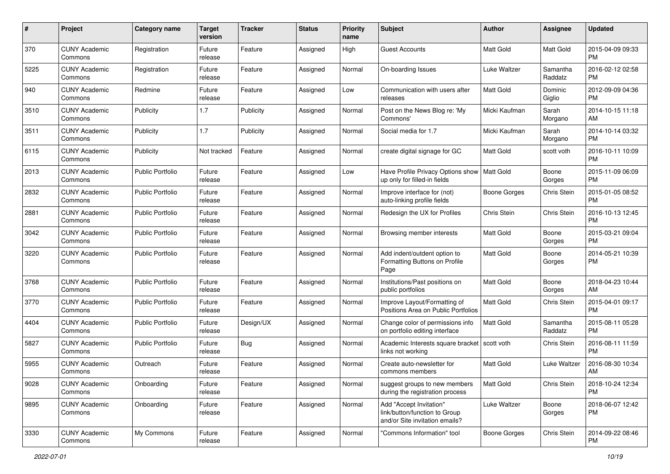| #    | Project                         | <b>Category name</b>    | <b>Target</b><br>version | <b>Tracker</b> | <b>Status</b> | Priority<br>name | <b>Subject</b>                                                                             | Author              | <b>Assignee</b>     | <b>Updated</b>                |
|------|---------------------------------|-------------------------|--------------------------|----------------|---------------|------------------|--------------------------------------------------------------------------------------------|---------------------|---------------------|-------------------------------|
| 370  | <b>CUNY Academic</b><br>Commons | Registration            | Future<br>release        | Feature        | Assigned      | High             | <b>Guest Accounts</b>                                                                      | <b>Matt Gold</b>    | <b>Matt Gold</b>    | 2015-04-09 09:33<br><b>PM</b> |
| 5225 | <b>CUNY Academic</b><br>Commons | Registration            | Future<br>release        | Feature        | Assigned      | Normal           | On-boarding Issues                                                                         | Luke Waltzer        | Samantha<br>Raddatz | 2016-02-12 02:58<br><b>PM</b> |
| 940  | <b>CUNY Academic</b><br>Commons | Redmine                 | Future<br>release        | Feature        | Assigned      | Low              | Communication with users after<br>releases                                                 | Matt Gold           | Dominic<br>Giglio   | 2012-09-09 04:36<br><b>PM</b> |
| 3510 | <b>CUNY Academic</b><br>Commons | Publicity               | 1.7                      | Publicity      | Assigned      | Normal           | Post on the News Blog re: 'My<br>Commons'                                                  | Micki Kaufman       | Sarah<br>Morgano    | 2014-10-15 11:18<br>AM        |
| 3511 | <b>CUNY Academic</b><br>Commons | Publicity               | 1.7                      | Publicity      | Assigned      | Normal           | Social media for 1.7                                                                       | Micki Kaufman       | Sarah<br>Morgano    | 2014-10-14 03:32<br><b>PM</b> |
| 6115 | <b>CUNY Academic</b><br>Commons | Publicity               | Not tracked              | Feature        | Assigned      | Normal           | create digital signage for GC                                                              | <b>Matt Gold</b>    | scott voth          | 2016-10-11 10:09<br><b>PM</b> |
| 2013 | <b>CUNY Academic</b><br>Commons | <b>Public Portfolio</b> | Future<br>release        | Feature        | Assigned      | Low              | Have Profile Privacy Options show<br>up only for filled-in fields                          | Matt Gold           | Boone<br>Gorges     | 2015-11-09 06:09<br><b>PM</b> |
| 2832 | <b>CUNY Academic</b><br>Commons | <b>Public Portfolio</b> | Future<br>release        | Feature        | Assigned      | Normal           | Improve interface for (not)<br>auto-linking profile fields                                 | <b>Boone Gorges</b> | Chris Stein         | 2015-01-05 08:52<br><b>PM</b> |
| 2881 | <b>CUNY Academic</b><br>Commons | <b>Public Portfolio</b> | Future<br>release        | Feature        | Assigned      | Normal           | Redesign the UX for Profiles                                                               | Chris Stein         | Chris Stein         | 2016-10-13 12:45<br><b>PM</b> |
| 3042 | <b>CUNY Academic</b><br>Commons | <b>Public Portfolio</b> | Future<br>release        | Feature        | Assigned      | Normal           | Browsing member interests                                                                  | Matt Gold           | Boone<br>Gorges     | 2015-03-21 09:04<br>PM        |
| 3220 | <b>CUNY Academic</b><br>Commons | <b>Public Portfolio</b> | Future<br>release        | Feature        | Assigned      | Normal           | Add indent/outdent option to<br>Formatting Buttons on Profile<br>Page                      | Matt Gold           | Boone<br>Gorges     | 2014-05-21 10:39<br><b>PM</b> |
| 3768 | <b>CUNY Academic</b><br>Commons | <b>Public Portfolio</b> | Future<br>release        | Feature        | Assigned      | Normal           | Institutions/Past positions on<br>public portfolios                                        | <b>Matt Gold</b>    | Boone<br>Gorges     | 2018-04-23 10:44<br>AM        |
| 3770 | <b>CUNY Academic</b><br>Commons | Public Portfolio        | Future<br>release        | Feature        | Assigned      | Normal           | Improve Layout/Formatting of<br>Positions Area on Public Portfolios                        | Matt Gold           | Chris Stein         | 2015-04-01 09:17<br><b>PM</b> |
| 4404 | <b>CUNY Academic</b><br>Commons | <b>Public Portfolio</b> | Future<br>release        | Design/UX      | Assigned      | Normal           | Change color of permissions info<br>on portfolio editing interface                         | Matt Gold           | Samantha<br>Raddatz | 2015-08-11 05:28<br><b>PM</b> |
| 5827 | <b>CUNY Academic</b><br>Commons | <b>Public Portfolio</b> | Future<br>release        | Bug            | Assigned      | Normal           | Academic Interests square bracket<br>links not working                                     | scott voth          | Chris Stein         | 2016-08-11 11:59<br><b>PM</b> |
| 5955 | <b>CUNY Academic</b><br>Commons | Outreach                | Future<br>release        | Feature        | Assigned      | Normal           | Create auto-newsletter for<br>commons members                                              | Matt Gold           | Luke Waltzer        | 2016-08-30 10:34<br>AM        |
| 9028 | <b>CUNY Academic</b><br>Commons | Onboarding              | Future<br>release        | Feature        | Assigned      | Normal           | suggest groups to new members<br>during the registration process                           | Matt Gold           | Chris Stein         | 2018-10-24 12:34<br><b>PM</b> |
| 9895 | <b>CUNY Academic</b><br>Commons | Onboarding              | Future<br>release        | Feature        | Assigned      | Normal           | Add "Accept Invitation"<br>link/button/function to Group<br>and/or Site invitation emails? | Luke Waltzer        | Boone<br>Gorges     | 2018-06-07 12:42<br><b>PM</b> |
| 3330 | <b>CUNY Academic</b><br>Commons | My Commons              | Future<br>release        | Feature        | Assigned      | Normal           | "Commons Information" tool                                                                 | Boone Gorges        | Chris Stein         | 2014-09-22 08:46<br><b>PM</b> |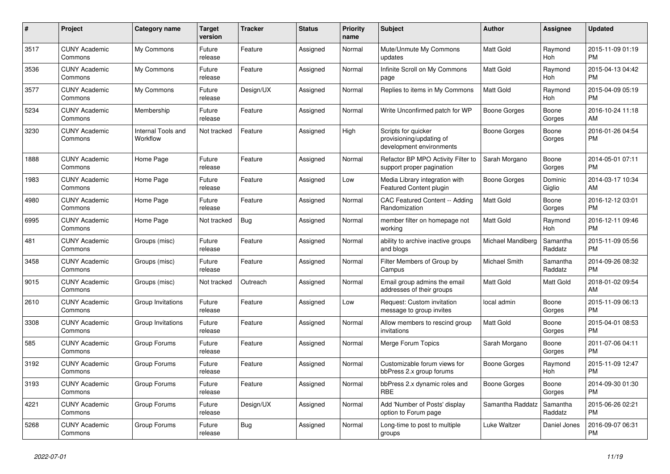| $\#$ | <b>Project</b>                  | <b>Category name</b>           | <b>Target</b><br>version | <b>Tracker</b> | <b>Status</b> | <b>Priority</b><br>name | <b>Subject</b>                                                              | <b>Author</b>       | Assignee            | <b>Updated</b>                |
|------|---------------------------------|--------------------------------|--------------------------|----------------|---------------|-------------------------|-----------------------------------------------------------------------------|---------------------|---------------------|-------------------------------|
| 3517 | <b>CUNY Academic</b><br>Commons | My Commons                     | Future<br>release        | Feature        | Assigned      | Normal                  | Mute/Unmute My Commons<br>updates                                           | <b>Matt Gold</b>    | Raymond<br>Hoh      | 2015-11-09 01:19<br><b>PM</b> |
| 3536 | <b>CUNY Academic</b><br>Commons | My Commons                     | Future<br>release        | Feature        | Assigned      | Normal                  | Infinite Scroll on My Commons<br>page                                       | Matt Gold           | Raymond<br>Hoh      | 2015-04-13 04:42<br><b>PM</b> |
| 3577 | <b>CUNY Academic</b><br>Commons | My Commons                     | Future<br>release        | Design/UX      | Assigned      | Normal                  | Replies to items in My Commons                                              | Matt Gold           | Raymond<br>Hoh      | 2015-04-09 05:19<br><b>PM</b> |
| 5234 | <b>CUNY Academic</b><br>Commons | Membership                     | Future<br>release        | Feature        | Assigned      | Normal                  | Write Unconfirmed patch for WP                                              | Boone Gorges        | Boone<br>Gorges     | 2016-10-24 11:18<br>AM        |
| 3230 | <b>CUNY Academic</b><br>Commons | Internal Tools and<br>Workflow | Not tracked              | Feature        | Assigned      | High                    | Scripts for quicker<br>provisioning/updating of<br>development environments | <b>Boone Gorges</b> | Boone<br>Gorges     | 2016-01-26 04:54<br><b>PM</b> |
| 1888 | <b>CUNY Academic</b><br>Commons | Home Page                      | Future<br>release        | Feature        | Assigned      | Normal                  | Refactor BP MPO Activity Filter to<br>support proper pagination             | Sarah Morgano       | Boone<br>Gorges     | 2014-05-01 07:11<br><b>PM</b> |
| 1983 | <b>CUNY Academic</b><br>Commons | Home Page                      | Future<br>release        | Feature        | Assigned      | Low                     | Media Library integration with<br><b>Featured Content plugin</b>            | Boone Gorges        | Dominic<br>Giglio   | 2014-03-17 10:34<br>AM        |
| 4980 | <b>CUNY Academic</b><br>Commons | Home Page                      | Future<br>release        | Feature        | Assigned      | Normal                  | CAC Featured Content -- Adding<br>Randomization                             | Matt Gold           | Boone<br>Gorges     | 2016-12-12 03:01<br><b>PM</b> |
| 6995 | <b>CUNY Academic</b><br>Commons | Home Page                      | Not tracked              | Bug            | Assigned      | Normal                  | member filter on homepage not<br>workina                                    | Matt Gold           | Raymond<br>Hoh      | 2016-12-11 09:46<br><b>PM</b> |
| 481  | <b>CUNY Academic</b><br>Commons | Groups (misc)                  | Future<br>release        | Feature        | Assigned      | Normal                  | ability to archive inactive groups<br>and blogs                             | Michael Mandiberg   | Samantha<br>Raddatz | 2015-11-09 05:56<br><b>PM</b> |
| 3458 | <b>CUNY Academic</b><br>Commons | Groups (misc)                  | Future<br>release        | Feature        | Assigned      | Normal                  | Filter Members of Group by<br>Campus                                        | Michael Smith       | Samantha<br>Raddatz | 2014-09-26 08:32<br><b>PM</b> |
| 9015 | <b>CUNY Academic</b><br>Commons | Groups (misc)                  | Not tracked              | Outreach       | Assigned      | Normal                  | Email group admins the email<br>addresses of their groups                   | <b>Matt Gold</b>    | Matt Gold           | 2018-01-02 09:54<br>AM        |
| 2610 | <b>CUNY Academic</b><br>Commons | Group Invitations              | Future<br>release        | Feature        | Assigned      | Low                     | Request: Custom invitation<br>message to group invites                      | local admin         | Boone<br>Gorges     | 2015-11-09 06:13<br><b>PM</b> |
| 3308 | <b>CUNY Academic</b><br>Commons | Group Invitations              | Future<br>release        | Feature        | Assigned      | Normal                  | Allow members to rescind group<br>invitations                               | <b>Matt Gold</b>    | Boone<br>Gorges     | 2015-04-01 08:53<br><b>PM</b> |
| 585  | <b>CUNY Academic</b><br>Commons | Group Forums                   | Future<br>release        | Feature        | Assigned      | Normal                  | Merge Forum Topics                                                          | Sarah Morgano       | Boone<br>Gorges     | 2011-07-06 04:11<br><b>PM</b> |
| 3192 | <b>CUNY Academic</b><br>Commons | Group Forums                   | Future<br>release        | Feature        | Assigned      | Normal                  | Customizable forum views for<br>bbPress 2.x group forums                    | <b>Boone Gorges</b> | Raymond<br>Hoh      | 2015-11-09 12:47<br><b>PM</b> |
| 3193 | <b>CUNY Academic</b><br>Commons | Group Forums                   | Future<br>release        | Feature        | Assigned      | Normal                  | bbPress 2.x dynamic roles and<br><b>RBE</b>                                 | Boone Gorges        | Boone<br>Gorges     | 2014-09-30 01:30<br><b>PM</b> |
| 4221 | <b>CUNY Academic</b><br>Commons | Group Forums                   | Future<br>release        | Design/UX      | Assigned      | Normal                  | Add 'Number of Posts' display<br>option to Forum page                       | Samantha Raddatz    | Samantha<br>Raddatz | 2015-06-26 02:21<br><b>PM</b> |
| 5268 | <b>CUNY Academic</b><br>Commons | Group Forums                   | Future<br>release        | Bug            | Assigned      | Normal                  | Long-time to post to multiple<br>groups                                     | Luke Waltzer        | Daniel Jones        | 2016-09-07 06:31<br><b>PM</b> |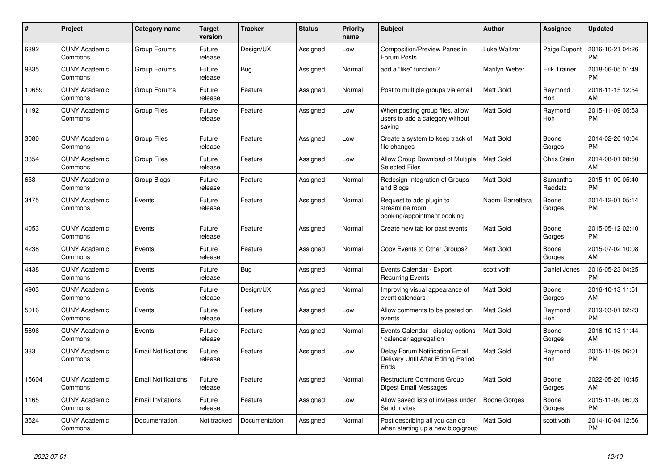| #     | Project                         | <b>Category name</b>       | <b>Target</b><br>version | <b>Tracker</b> | <b>Status</b> | <b>Priority</b><br>name | <b>Subject</b>                                                                | <b>Author</b>    | <b>Assignee</b>       | <b>Updated</b>                |
|-------|---------------------------------|----------------------------|--------------------------|----------------|---------------|-------------------------|-------------------------------------------------------------------------------|------------------|-----------------------|-------------------------------|
| 6392  | <b>CUNY Academic</b><br>Commons | Group Forums               | Future<br>release        | Design/UX      | Assigned      | Low                     | <b>Composition/Preview Panes in</b><br>Forum Posts                            | Luke Waltzer     | Paige Dupont          | 2016-10-21 04:26<br><b>PM</b> |
| 9835  | <b>CUNY Academic</b><br>Commons | Group Forums               | Future<br>release        | Bug            | Assigned      | Normal                  | add a "like" function?                                                        | Marilyn Weber    | <b>Erik Trainer</b>   | 2018-06-05 01:49<br><b>PM</b> |
| 10659 | <b>CUNY Academic</b><br>Commons | Group Forums               | Future<br>release        | Feature        | Assigned      | Normal                  | Post to multiple groups via email                                             | <b>Matt Gold</b> | Raymond<br><b>Hoh</b> | 2018-11-15 12:54<br>AM        |
| 1192  | <b>CUNY Academic</b><br>Commons | <b>Group Files</b>         | Future<br>release        | Feature        | Assigned      | Low                     | When posting group files, allow<br>users to add a category without<br>saving  | Matt Gold        | Raymond<br>Hoh        | 2015-11-09 05:53<br><b>PM</b> |
| 3080  | <b>CUNY Academic</b><br>Commons | <b>Group Files</b>         | Future<br>release        | Feature        | Assigned      | Low                     | Create a system to keep track of<br>file changes                              | <b>Matt Gold</b> | Boone<br>Gorges       | 2014-02-26 10:04<br><b>PM</b> |
| 3354  | <b>CUNY Academic</b><br>Commons | Group Files                | Future<br>release        | Feature        | Assigned      | Low                     | Allow Group Download of Multiple<br><b>Selected Files</b>                     | <b>Matt Gold</b> | Chris Stein           | 2014-08-01 08:50<br>AM        |
| 653   | <b>CUNY Academic</b><br>Commons | Group Blogs                | Future<br>release        | Feature        | Assigned      | Normal                  | Redesign Integration of Groups<br>and Blogs                                   | Matt Gold        | Samantha<br>Raddatz   | 2015-11-09 05:40<br><b>PM</b> |
| 3475  | <b>CUNY Academic</b><br>Commons | Events                     | Future<br>release        | Feature        | Assigned      | Normal                  | Request to add plugin to<br>streamline room<br>booking/appointment booking    | Naomi Barrettara | Boone<br>Gorges       | 2014-12-01 05:14<br><b>PM</b> |
| 4053  | <b>CUNY Academic</b><br>Commons | Events                     | Future<br>release        | Feature        | Assigned      | Normal                  | Create new tab for past events                                                | Matt Gold        | Boone<br>Gorges       | 2015-05-12 02:10<br><b>PM</b> |
| 4238  | <b>CUNY Academic</b><br>Commons | Events                     | Future<br>release        | Feature        | Assigned      | Normal                  | Copy Events to Other Groups?                                                  | Matt Gold        | Boone<br>Gorges       | 2015-07-02 10:08<br>AM        |
| 4438  | <b>CUNY Academic</b><br>Commons | Events                     | Future<br>release        | <b>Bug</b>     | Assigned      | Normal                  | Events Calendar - Export<br><b>Recurring Events</b>                           | scott voth       | Daniel Jones          | 2016-05-23 04:25<br><b>PM</b> |
| 4903  | <b>CUNY Academic</b><br>Commons | Events                     | Future<br>release        | Design/UX      | Assigned      | Normal                  | Improving visual appearance of<br>event calendars                             | Matt Gold        | Boone<br>Gorges       | 2016-10-13 11:51<br>AM        |
| 5016  | <b>CUNY Academic</b><br>Commons | Events                     | Future<br>release        | Feature        | Assigned      | Low                     | Allow comments to be posted on<br>events                                      | <b>Matt Gold</b> | Raymond<br>Hoh        | 2019-03-01 02:23<br><b>PM</b> |
| 5696  | <b>CUNY Academic</b><br>Commons | Events                     | Future<br>release        | Feature        | Assigned      | Normal                  | Events Calendar - display options<br>calendar aggregation                     | <b>Matt Gold</b> | Boone<br>Gorges       | 2016-10-13 11:44<br>AM        |
| 333   | <b>CUNY Academic</b><br>Commons | <b>Email Notifications</b> | Future<br>release        | Feature        | Assigned      | Low                     | Delay Forum Notification Email<br>Delivery Until After Editing Period<br>Ends | <b>Matt Gold</b> | Raymond<br>Hoh        | 2015-11-09 06:01<br><b>PM</b> |
| 15604 | <b>CUNY Academic</b><br>Commons | <b>Email Notifications</b> | Future<br>release        | Feature        | Assigned      | Normal                  | <b>Restructure Commons Group</b><br>Digest Email Messages                     | <b>Matt Gold</b> | Boone<br>Gorges       | 2022-05-26 10:45<br>AM        |
| 1165  | <b>CUNY Academic</b><br>Commons | <b>Email Invitations</b>   | Future<br>release        | Feature        | Assigned      | Low                     | Allow saved lists of invitees under<br>Send Invites                           | Boone Gorges     | Boone<br>Gorges       | 2015-11-09 06:03<br><b>PM</b> |
| 3524  | <b>CUNY Academic</b><br>Commons | Documentation              | Not tracked              | Documentation  | Assigned      | Normal                  | Post describing all you can do<br>when starting up a new blog/group           | <b>Matt Gold</b> | scott voth            | 2014-10-04 12:56<br><b>PM</b> |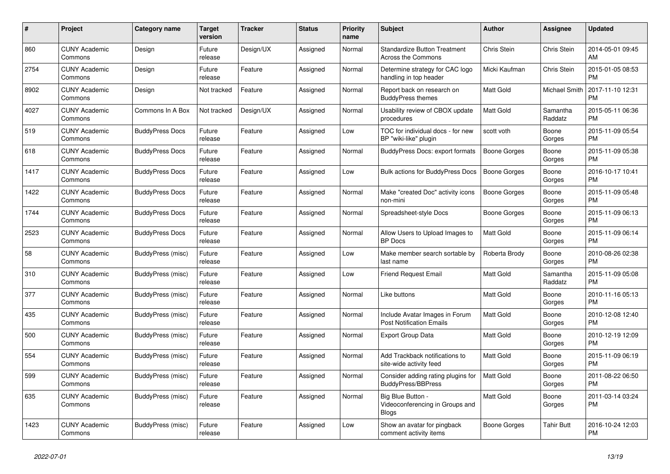| $\#$ | <b>Project</b>                  | <b>Category name</b>     | <b>Target</b><br>version | <b>Tracker</b> | <b>Status</b> | <b>Priority</b><br>name | <b>Subject</b>                                                       | <b>Author</b>       | Assignee            | <b>Updated</b>                |
|------|---------------------------------|--------------------------|--------------------------|----------------|---------------|-------------------------|----------------------------------------------------------------------|---------------------|---------------------|-------------------------------|
| 860  | <b>CUNY Academic</b><br>Commons | Design                   | Future<br>release        | Design/UX      | Assigned      | Normal                  | <b>Standardize Button Treatment</b><br>Across the Commons            | Chris Stein         | Chris Stein         | 2014-05-01 09:45<br>AM        |
| 2754 | <b>CUNY Academic</b><br>Commons | Design                   | Future<br>release        | Feature        | Assigned      | Normal                  | Determine strategy for CAC logo<br>handling in top header            | Micki Kaufman       | Chris Stein         | 2015-01-05 08:53<br><b>PM</b> |
| 8902 | <b>CUNY Academic</b><br>Commons | Design                   | Not tracked              | Feature        | Assigned      | Normal                  | Report back on research on<br><b>BuddyPress themes</b>               | Matt Gold           | Michael Smith       | 2017-11-10 12:31<br><b>PM</b> |
| 4027 | <b>CUNY Academic</b><br>Commons | Commons In A Box         | Not tracked              | Design/UX      | Assigned      | Normal                  | Usability review of CBOX update<br>procedures                        | <b>Matt Gold</b>    | Samantha<br>Raddatz | 2015-05-11 06:36<br><b>PM</b> |
| 519  | <b>CUNY Academic</b><br>Commons | <b>BuddyPress Docs</b>   | Future<br>release        | Feature        | Assigned      | Low                     | TOC for individual docs - for new<br>BP "wiki-like" plugin           | scott voth          | Boone<br>Gorges     | 2015-11-09 05:54<br><b>PM</b> |
| 618  | <b>CUNY Academic</b><br>Commons | <b>BuddyPress Docs</b>   | Future<br>release        | Feature        | Assigned      | Normal                  | <b>BuddyPress Docs: export formats</b>                               | Boone Gorges        | Boone<br>Gorges     | 2015-11-09 05:38<br><b>PM</b> |
| 1417 | <b>CUNY Academic</b><br>Commons | <b>BuddyPress Docs</b>   | Future<br>release        | Feature        | Assigned      | Low                     | Bulk actions for BuddyPress Docs                                     | <b>Boone Gorges</b> | Boone<br>Gorges     | 2016-10-17 10:41<br><b>PM</b> |
| 1422 | <b>CUNY Academic</b><br>Commons | <b>BuddyPress Docs</b>   | Future<br>release        | Feature        | Assigned      | Normal                  | Make "created Doc" activity icons<br>non-mini                        | <b>Boone Gorges</b> | Boone<br>Gorges     | 2015-11-09 05:48<br><b>PM</b> |
| 1744 | <b>CUNY Academic</b><br>Commons | <b>BuddyPress Docs</b>   | Future<br>release        | Feature        | Assigned      | Normal                  | Spreadsheet-style Docs                                               | Boone Gorges        | Boone<br>Gorges     | 2015-11-09 06:13<br><b>PM</b> |
| 2523 | <b>CUNY Academic</b><br>Commons | <b>BuddyPress Docs</b>   | Future<br>release        | Feature        | Assigned      | Normal                  | Allow Users to Upload Images to<br><b>BP</b> Docs                    | Matt Gold           | Boone<br>Gorges     | 2015-11-09 06:14<br><b>PM</b> |
| 58   | <b>CUNY Academic</b><br>Commons | BuddyPress (misc)        | Future<br>release        | Feature        | Assigned      | Low                     | Make member search sortable by<br>last name                          | Roberta Brody       | Boone<br>Gorges     | 2010-08-26 02:38<br><b>PM</b> |
| 310  | <b>CUNY Academic</b><br>Commons | <b>BuddyPress</b> (misc) | Future<br>release        | Feature        | Assigned      | Low                     | Friend Request Email                                                 | Matt Gold           | Samantha<br>Raddatz | 2015-11-09 05:08<br><b>PM</b> |
| 377  | <b>CUNY Academic</b><br>Commons | BuddyPress (misc)        | Future<br>release        | Feature        | Assigned      | Normal                  | Like buttons                                                         | <b>Matt Gold</b>    | Boone<br>Gorges     | 2010-11-16 05:13<br><b>PM</b> |
| 435  | <b>CUNY Academic</b><br>Commons | BuddyPress (misc)        | Future<br>release        | Feature        | Assigned      | Normal                  | Include Avatar Images in Forum<br><b>Post Notification Emails</b>    | <b>Matt Gold</b>    | Boone<br>Gorges     | 2010-12-08 12:40<br><b>PM</b> |
| 500  | <b>CUNY Academic</b><br>Commons | BuddyPress (misc)        | Future<br>release        | Feature        | Assigned      | Normal                  | <b>Export Group Data</b>                                             | Matt Gold           | Boone<br>Gorges     | 2010-12-19 12:09<br><b>PM</b> |
| 554  | <b>CUNY Academic</b><br>Commons | BuddyPress (misc)        | Future<br>release        | Feature        | Assigned      | Normal                  | Add Trackback notifications to<br>site-wide activity feed            | Matt Gold           | Boone<br>Gorges     | 2015-11-09 06:19<br><b>PM</b> |
| 599  | <b>CUNY Academic</b><br>Commons | BuddyPress (misc)        | Future<br>release        | Feature        | Assigned      | Normal                  | Consider adding rating plugins for<br><b>BuddyPress/BBPress</b>      | <b>Matt Gold</b>    | Boone<br>Gorges     | 2011-08-22 06:50<br><b>PM</b> |
| 635  | <b>CUNY Academic</b><br>Commons | <b>BuddyPress (misc)</b> | Future<br>release        | Feature        | Assigned      | Normal                  | Big Blue Button -<br>Videoconferencing in Groups and<br><b>Blogs</b> | <b>Matt Gold</b>    | Boone<br>Gorges     | 2011-03-14 03:24<br><b>PM</b> |
| 1423 | <b>CUNY Academic</b><br>Commons | BuddyPress (misc)        | Future<br>release        | Feature        | Assigned      | Low                     | Show an avatar for pingback<br>comment activity items                | Boone Gorges        | Tahir Butt          | 2016-10-24 12:03<br><b>PM</b> |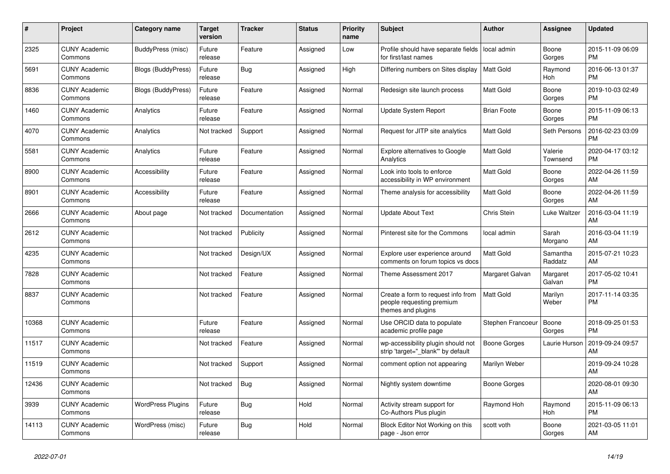| #     | <b>Project</b>                  | Category name            | <b>Target</b><br>version | <b>Tracker</b> | <b>Status</b> | <b>Priority</b><br>name | <b>Subject</b>                                                                        | <b>Author</b>      | Assignee            | <b>Updated</b>                |
|-------|---------------------------------|--------------------------|--------------------------|----------------|---------------|-------------------------|---------------------------------------------------------------------------------------|--------------------|---------------------|-------------------------------|
| 2325  | <b>CUNY Academic</b><br>Commons | BuddyPress (misc)        | Future<br>release        | Feature        | Assigned      | Low                     | Profile should have separate fields<br>for first/last names                           | local admin        | Boone<br>Gorges     | 2015-11-09 06:09<br><b>PM</b> |
| 5691  | <b>CUNY Academic</b><br>Commons | Blogs (BuddyPress)       | Future<br>release        | Bug            | Assigned      | High                    | Differing numbers on Sites display                                                    | Matt Gold          | Raymond<br>Hoh      | 2016-06-13 01:37<br><b>PM</b> |
| 8836  | <b>CUNY Academic</b><br>Commons | Blogs (BuddyPress)       | Future<br>release        | Feature        | Assigned      | Normal                  | Redesign site launch process                                                          | Matt Gold          | Boone<br>Gorges     | 2019-10-03 02:49<br><b>PM</b> |
| 1460  | <b>CUNY Academic</b><br>Commons | Analytics                | Future<br>release        | Feature        | Assigned      | Normal                  | <b>Update System Report</b>                                                           | <b>Brian Foote</b> | Boone<br>Gorges     | 2015-11-09 06:13<br><b>PM</b> |
| 4070  | <b>CUNY Academic</b><br>Commons | Analytics                | Not tracked              | Support        | Assigned      | Normal                  | Request for JITP site analytics                                                       | Matt Gold          | Seth Persons        | 2016-02-23 03:09<br><b>PM</b> |
| 5581  | <b>CUNY Academic</b><br>Commons | Analytics                | Future<br>release        | Feature        | Assigned      | Normal                  | <b>Explore alternatives to Google</b><br>Analytics                                    | Matt Gold          | Valerie<br>Townsend | 2020-04-17 03:12<br><b>PM</b> |
| 8900  | <b>CUNY Academic</b><br>Commons | Accessibility            | Future<br>release        | Feature        | Assigned      | Normal                  | Look into tools to enforce<br>accessibility in WP environment                         | <b>Matt Gold</b>   | Boone<br>Gorges     | 2022-04-26 11:59<br>AM        |
| 8901  | <b>CUNY Academic</b><br>Commons | Accessibility            | Future<br>release        | Feature        | Assigned      | Normal                  | Theme analysis for accessibility                                                      | <b>Matt Gold</b>   | Boone<br>Gorges     | 2022-04-26 11:59<br>AM        |
| 2666  | <b>CUNY Academic</b><br>Commons | About page               | Not tracked              | Documentation  | Assigned      | Normal                  | <b>Update About Text</b>                                                              | Chris Stein        | Luke Waltzer        | 2016-03-04 11:19<br>AM        |
| 2612  | <b>CUNY Academic</b><br>Commons |                          | Not tracked              | Publicity      | Assigned      | Normal                  | Pinterest site for the Commons                                                        | local admin        | Sarah<br>Morgano    | 2016-03-04 11:19<br>AM        |
| 4235  | <b>CUNY Academic</b><br>Commons |                          | Not tracked              | Design/UX      | Assigned      | Normal                  | Explore user experience around<br>comments on forum topics vs docs                    | <b>Matt Gold</b>   | Samantha<br>Raddatz | 2015-07-21 10:23<br>AM        |
| 7828  | <b>CUNY Academic</b><br>Commons |                          | Not tracked              | Feature        | Assigned      | Normal                  | Theme Assessment 2017                                                                 | Margaret Galvan    | Margaret<br>Galvan  | 2017-05-02 10:41<br><b>PM</b> |
| 8837  | <b>CUNY Academic</b><br>Commons |                          | Not tracked              | Feature        | Assigned      | Normal                  | Create a form to request info from<br>people requesting premium<br>themes and plugins | <b>Matt Gold</b>   | Marilyn<br>Weber    | 2017-11-14 03:35<br><b>PM</b> |
| 10368 | <b>CUNY Academic</b><br>Commons |                          | Future<br>release        | Feature        | Assigned      | Normal                  | Use ORCID data to populate<br>academic profile page                                   | Stephen Francoeur  | Boone<br>Gorges     | 2018-09-25 01:53<br><b>PM</b> |
| 11517 | <b>CUNY Academic</b><br>Commons |                          | Not tracked              | Feature        | Assigned      | Normal                  | wp-accessibility plugin should not<br>strip 'target="_blank" by default               | Boone Gorges       | Laurie Hurson       | 2019-09-24 09:57<br>AM        |
| 11519 | <b>CUNY Academic</b><br>Commons |                          | Not tracked              | Support        | Assigned      | Normal                  | comment option not appearing                                                          | Marilyn Weber      |                     | 2019-09-24 10:28<br>AM        |
| 12436 | <b>CUNY Academic</b><br>Commons |                          | Not tracked              | Bug            | Assigned      | Normal                  | Nightly system downtime                                                               | Boone Gorges       |                     | 2020-08-01 09:30<br>AM        |
| 3939  | <b>CUNY Academic</b><br>Commons | <b>WordPress Plugins</b> | Future<br>release        | Bug            | Hold          | Normal                  | Activity stream support for<br>Co-Authors Plus plugin                                 | Raymond Hoh        | Raymond<br>Hoh      | 2015-11-09 06:13<br><b>PM</b> |
| 14113 | <b>CUNY Academic</b><br>Commons | WordPress (misc)         | Future<br>release        | Bug            | Hold          | Normal                  | Block Editor Not Working on this<br>page - Json error                                 | scott voth         | Boone<br>Gorges     | 2021-03-05 11:01<br>AM        |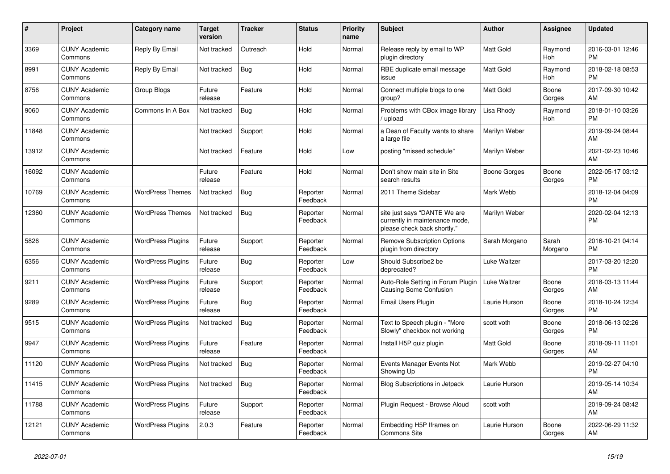| #     | <b>Project</b>                  | <b>Category name</b>     | <b>Target</b><br>version | <b>Tracker</b> | <b>Status</b>        | <b>Priority</b><br>name | <b>Subject</b>                                                                                | <b>Author</b>       | Assignee         | <b>Updated</b>                |
|-------|---------------------------------|--------------------------|--------------------------|----------------|----------------------|-------------------------|-----------------------------------------------------------------------------------------------|---------------------|------------------|-------------------------------|
| 3369  | <b>CUNY Academic</b><br>Commons | Reply By Email           | Not tracked              | Outreach       | Hold                 | Normal                  | Release reply by email to WP<br>plugin directory                                              | <b>Matt Gold</b>    | Raymond<br>Hoh   | 2016-03-01 12:46<br><b>PM</b> |
| 8991  | <b>CUNY Academic</b><br>Commons | Reply By Email           | Not tracked              | <b>Bug</b>     | Hold                 | Normal                  | RBE duplicate email message<br>issue                                                          | <b>Matt Gold</b>    | Raymond<br>Hoh   | 2018-02-18 08:53<br><b>PM</b> |
| 8756  | <b>CUNY Academic</b><br>Commons | Group Blogs              | Future<br>release        | Feature        | Hold                 | Normal                  | Connect multiple blogs to one<br>group?                                                       | <b>Matt Gold</b>    | Boone<br>Gorges  | 2017-09-30 10:42<br>AM        |
| 9060  | <b>CUNY Academic</b><br>Commons | Commons In A Box         | Not tracked              | Bug            | Hold                 | Normal                  | Problems with CBox image library<br>/ upload                                                  | Lisa Rhody          | Raymond<br>Hoh   | 2018-01-10 03:26<br><b>PM</b> |
| 11848 | <b>CUNY Academic</b><br>Commons |                          | Not tracked              | Support        | Hold                 | Normal                  | a Dean of Faculty wants to share<br>a large file                                              | Marilyn Weber       |                  | 2019-09-24 08:44<br>AM        |
| 13912 | <b>CUNY Academic</b><br>Commons |                          | Not tracked              | Feature        | Hold                 | Low                     | posting "missed schedule"                                                                     | Marilyn Weber       |                  | 2021-02-23 10:46<br>AM        |
| 16092 | <b>CUNY Academic</b><br>Commons |                          | Future<br>release        | Feature        | Hold                 | Normal                  | Don't show main site in Site<br>search results                                                | Boone Gorges        | Boone<br>Gorges  | 2022-05-17 03:12<br><b>PM</b> |
| 10769 | <b>CUNY Academic</b><br>Commons | <b>WordPress Themes</b>  | Not tracked              | Bug            | Reporter<br>Feedback | Normal                  | 2011 Theme Sidebar                                                                            | Mark Webb           |                  | 2018-12-04 04:09<br><b>PM</b> |
| 12360 | <b>CUNY Academic</b><br>Commons | <b>WordPress Themes</b>  | Not tracked              | <b>Bug</b>     | Reporter<br>Feedback | Normal                  | site just says "DANTE We are<br>currently in maintenance mode,<br>please check back shortly." | Marilyn Weber       |                  | 2020-02-04 12:13<br><b>PM</b> |
| 5826  | <b>CUNY Academic</b><br>Commons | <b>WordPress Plugins</b> | Future<br>release        | Support        | Reporter<br>Feedback | Normal                  | <b>Remove Subscription Options</b><br>plugin from directory                                   | Sarah Morgano       | Sarah<br>Morgano | 2016-10-21 04:14<br><b>PM</b> |
| 6356  | <b>CUNY Academic</b><br>Commons | <b>WordPress Plugins</b> | Future<br>release        | Bug            | Reporter<br>Feedback | Low                     | Should Subscribe2 be<br>deprecated?                                                           | Luke Waltzer        |                  | 2017-03-20 12:20<br><b>PM</b> |
| 9211  | <b>CUNY Academic</b><br>Commons | <b>WordPress Plugins</b> | Future<br>release        | Support        | Reporter<br>Feedback | Normal                  | Auto-Role Setting in Forum Plugin<br><b>Causing Some Confusion</b>                            | <b>Luke Waltzer</b> | Boone<br>Gorges  | 2018-03-13 11:44<br>AM        |
| 9289  | <b>CUNY Academic</b><br>Commons | <b>WordPress Plugins</b> | Future<br>release        | <b>Bug</b>     | Reporter<br>Feedback | Normal                  | Email Users Plugin                                                                            | Laurie Hurson       | Boone<br>Gorges  | 2018-10-24 12:34<br><b>PM</b> |
| 9515  | <b>CUNY Academic</b><br>Commons | <b>WordPress Plugins</b> | Not tracked              | <b>Bug</b>     | Reporter<br>Feedback | Normal                  | Text to Speech plugin - "More<br>Slowly" checkbox not working                                 | scott voth          | Boone<br>Gorges  | 2018-06-13 02:26<br><b>PM</b> |
| 9947  | <b>CUNY Academic</b><br>Commons | <b>WordPress Plugins</b> | Future<br>release        | Feature        | Reporter<br>Feedback | Normal                  | Install H5P quiz plugin                                                                       | <b>Matt Gold</b>    | Boone<br>Gorges  | 2018-09-11 11:01<br>AM        |
| 11120 | <b>CUNY Academic</b><br>Commons | <b>WordPress Plugins</b> | Not tracked              | <b>Bug</b>     | Reporter<br>Feedback | Normal                  | Events Manager Events Not<br>Showing Up                                                       | Mark Webb           |                  | 2019-02-27 04:10<br><b>PM</b> |
| 11415 | <b>CUNY Academic</b><br>Commons | <b>WordPress Plugins</b> | Not tracked              | Bug            | Reporter<br>Feedback | Normal                  | Blog Subscriptions in Jetpack                                                                 | Laurie Hurson       |                  | 2019-05-14 10:34<br>AM        |
| 11788 | <b>CUNY Academic</b><br>Commons | <b>WordPress Plugins</b> | Future<br>release        | Support        | Reporter<br>Feedback | Normal                  | Plugin Request - Browse Aloud                                                                 | scott voth          |                  | 2019-09-24 08:42<br>AM        |
| 12121 | <b>CUNY Academic</b><br>Commons | <b>WordPress Plugins</b> | 2.0.3                    | Feature        | Reporter<br>Feedback | Normal                  | Embedding H5P Iframes on<br><b>Commons Site</b>                                               | Laurie Hurson       | Boone<br>Gorges  | 2022-06-29 11:32<br>AM        |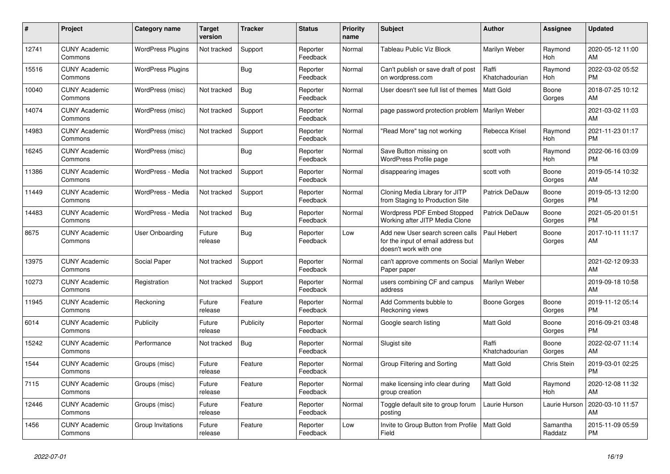| #     | Project                         | <b>Category name</b>     | <b>Target</b><br>version | <b>Tracker</b> | <b>Status</b>        | Priority<br>name | <b>Subject</b>                                                                                  | <b>Author</b>           | <b>Assignee</b>     | <b>Updated</b>                |
|-------|---------------------------------|--------------------------|--------------------------|----------------|----------------------|------------------|-------------------------------------------------------------------------------------------------|-------------------------|---------------------|-------------------------------|
| 12741 | <b>CUNY Academic</b><br>Commons | <b>WordPress Plugins</b> | Not tracked              | Support        | Reporter<br>Feedback | Normal           | Tableau Public Viz Block                                                                        | Marilyn Weber           | Raymond<br>Hoh      | 2020-05-12 11:00<br>AM        |
| 15516 | <b>CUNY Academic</b><br>Commons | <b>WordPress Plugins</b> |                          | Bug            | Reporter<br>Feedback | Normal           | Can't publish or save draft of post<br>on wordpress.com                                         | Raffi<br>Khatchadourian | Raymond<br>Hoh      | 2022-03-02 05:52<br><b>PM</b> |
| 10040 | <b>CUNY Academic</b><br>Commons | WordPress (misc)         | Not tracked              | <b>Bug</b>     | Reporter<br>Feedback | Normal           | User doesn't see full list of themes                                                            | <b>Matt Gold</b>        | Boone<br>Gorges     | 2018-07-25 10:12<br>AM        |
| 14074 | <b>CUNY Academic</b><br>Commons | WordPress (misc)         | Not tracked              | Support        | Reporter<br>Feedback | Normal           | page password protection problem                                                                | Marilyn Weber           |                     | 2021-03-02 11:03<br>AM        |
| 14983 | <b>CUNY Academic</b><br>Commons | WordPress (misc)         | Not tracked              | Support        | Reporter<br>Feedback | Normal           | "Read More" tag not working                                                                     | Rebecca Krisel          | Raymond<br>Hoh      | 2021-11-23 01:17<br><b>PM</b> |
| 16245 | <b>CUNY Academic</b><br>Commons | WordPress (misc)         |                          | <b>Bug</b>     | Reporter<br>Feedback | Normal           | Save Button missing on<br>WordPress Profile page                                                | scott voth              | Raymond<br>Hoh      | 2022-06-16 03:09<br><b>PM</b> |
| 11386 | <b>CUNY Academic</b><br>Commons | WordPress - Media        | Not tracked              | Support        | Reporter<br>Feedback | Normal           | disappearing images                                                                             | scott voth              | Boone<br>Gorges     | 2019-05-14 10:32<br>AM        |
| 11449 | <b>CUNY Academic</b><br>Commons | WordPress - Media        | Not tracked              | Support        | Reporter<br>Feedback | Normal           | Cloning Media Library for JITP<br>from Staging to Production Site                               | <b>Patrick DeDauw</b>   | Boone<br>Gorges     | 2019-05-13 12:00<br><b>PM</b> |
| 14483 | <b>CUNY Academic</b><br>Commons | WordPress - Media        | Not tracked              | Bug            | Reporter<br>Feedback | Normal           | <b>Wordpress PDF Embed Stopped</b><br>Working after JITP Media Clone                            | Patrick DeDauw          | Boone<br>Gorges     | 2021-05-20 01:51<br><b>PM</b> |
| 8675  | <b>CUNY Academic</b><br>Commons | User Onboarding          | Future<br>release        | Bug            | Reporter<br>Feedback | Low              | Add new User search screen calls<br>for the input of email address but<br>doesn't work with one | Paul Hebert             | Boone<br>Gorges     | 2017-10-11 11:17<br>AM        |
| 13975 | <b>CUNY Academic</b><br>Commons | Social Paper             | Not tracked              | Support        | Reporter<br>Feedback | Normal           | can't approve comments on Social<br>Paper paper                                                 | Marilyn Weber           |                     | 2021-02-12 09:33<br>AM        |
| 10273 | <b>CUNY Academic</b><br>Commons | Registration             | Not tracked              | Support        | Reporter<br>Feedback | Normal           | users combining CF and campus<br>address                                                        | Marilyn Weber           |                     | 2019-09-18 10:58<br>AM        |
| 11945 | <b>CUNY Academic</b><br>Commons | Reckoning                | Future<br>release        | Feature        | Reporter<br>Feedback | Normal           | Add Comments bubble to<br>Reckoning views                                                       | Boone Gorges            | Boone<br>Gorges     | 2019-11-12 05:14<br><b>PM</b> |
| 6014  | <b>CUNY Academic</b><br>Commons | Publicity                | Future<br>release        | Publicity      | Reporter<br>Feedback | Normal           | Google search listing                                                                           | Matt Gold               | Boone<br>Gorges     | 2016-09-21 03:48<br><b>PM</b> |
| 15242 | <b>CUNY Academic</b><br>Commons | Performance              | Not tracked              | Bug            | Reporter<br>Feedback | Normal           | Slugist site                                                                                    | Raffi<br>Khatchadourian | Boone<br>Gorges     | 2022-02-07 11:14<br>AM        |
| 1544  | <b>CUNY Academic</b><br>Commons | Groups (misc)            | Future<br>release        | Feature        | Reporter<br>Feedback | Normal           | Group Filtering and Sorting                                                                     | <b>Matt Gold</b>        | Chris Stein         | 2019-03-01 02:25<br><b>PM</b> |
| 7115  | <b>CUNY Academic</b><br>Commons | Groups (misc)            | Future<br>release        | Feature        | Reporter<br>Feedback | Normal           | make licensing info clear during<br>group creation                                              | <b>Matt Gold</b>        | Raymond<br>Hoh      | 2020-12-08 11:32<br>AM        |
| 12446 | <b>CUNY Academic</b><br>Commons | Groups (misc)            | Future<br>release        | Feature        | Reporter<br>Feedback | Normal           | Toggle default site to group forum<br>posting                                                   | Laurie Hurson           | Laurie Hurson       | 2020-03-10 11:57<br>AM        |
| 1456  | <b>CUNY Academic</b><br>Commons | Group Invitations        | Future<br>release        | Feature        | Reporter<br>Feedback | Low              | Invite to Group Button from Profile<br>Field                                                    | Matt Gold               | Samantha<br>Raddatz | 2015-11-09 05:59<br><b>PM</b> |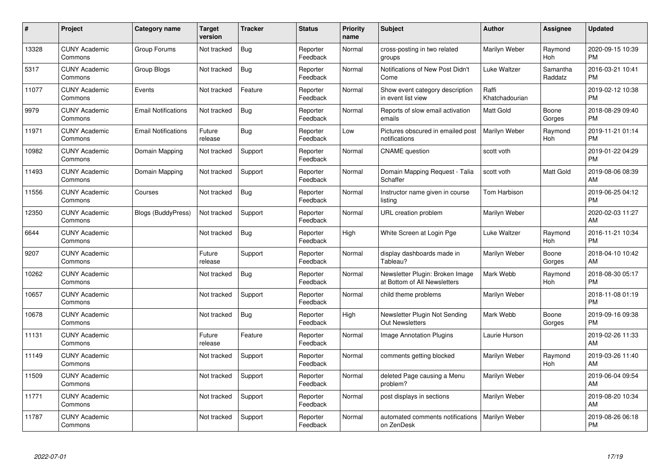| #     | Project                         | <b>Category name</b>       | <b>Target</b><br>version | <b>Tracker</b> | <b>Status</b>        | <b>Priority</b><br>name | <b>Subject</b>                                                  | <b>Author</b>           | <b>Assignee</b>     | <b>Updated</b>                |
|-------|---------------------------------|----------------------------|--------------------------|----------------|----------------------|-------------------------|-----------------------------------------------------------------|-------------------------|---------------------|-------------------------------|
| 13328 | <b>CUNY Academic</b><br>Commons | Group Forums               | Not tracked              | Bug            | Reporter<br>Feedback | Normal                  | cross-posting in two related<br>groups                          | Marilyn Weber           | Raymond<br>Hoh      | 2020-09-15 10:39<br><b>PM</b> |
| 5317  | <b>CUNY Academic</b><br>Commons | Group Blogs                | Not tracked              | Bug            | Reporter<br>Feedback | Normal                  | Notifications of New Post Didn't<br>Come                        | Luke Waltzer            | Samantha<br>Raddatz | 2016-03-21 10:41<br><b>PM</b> |
| 11077 | <b>CUNY Academic</b><br>Commons | Events                     | Not tracked              | Feature        | Reporter<br>Feedback | Normal                  | Show event category description<br>in event list view           | Raffi<br>Khatchadourian |                     | 2019-02-12 10:38<br><b>PM</b> |
| 9979  | <b>CUNY Academic</b><br>Commons | <b>Email Notifications</b> | Not tracked              | Bug            | Reporter<br>Feedback | Normal                  | Reports of slow email activation<br>emails                      | <b>Matt Gold</b>        | Boone<br>Gorges     | 2018-08-29 09:40<br><b>PM</b> |
| 11971 | <b>CUNY Academic</b><br>Commons | <b>Email Notifications</b> | Future<br>release        | Bug            | Reporter<br>Feedback | Low                     | Pictures obscured in emailed post<br>notifications              | Marilyn Weber           | Raymond<br>Hoh      | 2019-11-21 01:14<br><b>PM</b> |
| 10982 | <b>CUNY Academic</b><br>Commons | Domain Mapping             | Not tracked              | Support        | Reporter<br>Feedback | Normal                  | <b>CNAME</b> question                                           | scott voth              |                     | 2019-01-22 04:29<br><b>PM</b> |
| 11493 | <b>CUNY Academic</b><br>Commons | Domain Mapping             | Not tracked              | Support        | Reporter<br>Feedback | Normal                  | Domain Mapping Request - Talia<br>Schaffer                      | scott voth              | Matt Gold           | 2019-08-06 08:39<br>AM        |
| 11556 | <b>CUNY Academic</b><br>Commons | Courses                    | Not tracked              | <b>Bug</b>     | Reporter<br>Feedback | Normal                  | Instructor name given in course<br>listina                      | Tom Harbison            |                     | 2019-06-25 04:12<br><b>PM</b> |
| 12350 | <b>CUNY Academic</b><br>Commons | <b>Blogs (BuddyPress)</b>  | Not tracked              | Support        | Reporter<br>Feedback | Normal                  | URL creation problem                                            | Marilyn Weber           |                     | 2020-02-03 11:27<br>AM        |
| 6644  | <b>CUNY Academic</b><br>Commons |                            | Not tracked              | Bug            | Reporter<br>Feedback | High                    | White Screen at Login Pge                                       | Luke Waltzer            | Raymond<br>Hoh      | 2016-11-21 10:34<br><b>PM</b> |
| 9207  | <b>CUNY Academic</b><br>Commons |                            | Future<br>release        | Support        | Reporter<br>Feedback | Normal                  | display dashboards made in<br>Tableau?                          | Marilyn Weber           | Boone<br>Gorges     | 2018-04-10 10:42<br>AM        |
| 10262 | <b>CUNY Academic</b><br>Commons |                            | Not tracked              | Bug            | Reporter<br>Feedback | Normal                  | Newsletter Plugin: Broken Image<br>at Bottom of All Newsletters | Mark Webb               | Raymond<br>Hoh      | 2018-08-30 05:17<br><b>PM</b> |
| 10657 | <b>CUNY Academic</b><br>Commons |                            | Not tracked              | Support        | Reporter<br>Feedback | Normal                  | child theme problems                                            | Marilyn Weber           |                     | 2018-11-08 01:19<br><b>PM</b> |
| 10678 | <b>CUNY Academic</b><br>Commons |                            | Not tracked              | <b>Bug</b>     | Reporter<br>Feedback | High                    | Newsletter Plugin Not Sending<br>Out Newsletters                | Mark Webb               | Boone<br>Gorges     | 2019-09-16 09:38<br><b>PM</b> |
| 11131 | <b>CUNY Academic</b><br>Commons |                            | Future<br>release        | Feature        | Reporter<br>Feedback | Normal                  | <b>Image Annotation Plugins</b>                                 | Laurie Hurson           |                     | 2019-02-26 11:33<br>AM        |
| 11149 | <b>CUNY Academic</b><br>Commons |                            | Not tracked              | Support        | Reporter<br>Feedback | Normal                  | comments getting blocked                                        | Marilyn Weber           | Raymond<br>Hoh      | 2019-03-26 11:40<br>AM        |
| 11509 | <b>CUNY Academic</b><br>Commons |                            | Not tracked              | Support        | Reporter<br>Feedback | Normal                  | deleted Page causing a Menu<br>problem?                         | Marilyn Weber           |                     | 2019-06-04 09:54<br>AM        |
| 11771 | <b>CUNY Academic</b><br>Commons |                            | Not tracked              | Support        | Reporter<br>Feedback | Normal                  | post displays in sections                                       | Marilyn Weber           |                     | 2019-08-20 10:34<br>AM        |
| 11787 | <b>CUNY Academic</b><br>Commons |                            | Not tracked              | Support        | Reporter<br>Feedback | Normal                  | automated comments notifications<br>on ZenDesk                  | Marilyn Weber           |                     | 2019-08-26 06:18<br><b>PM</b> |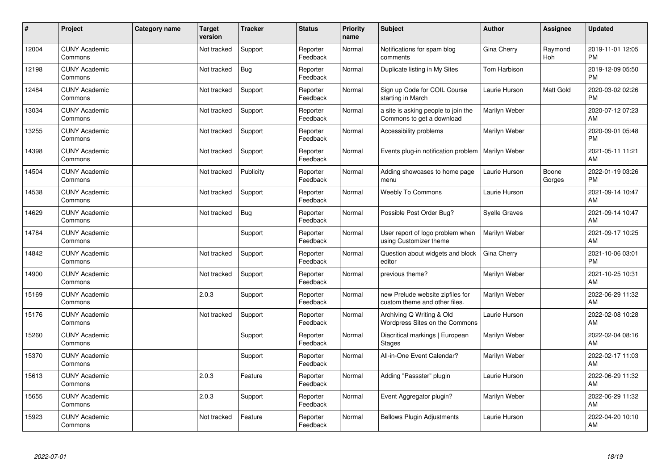| #     | Project                         | <b>Category name</b> | <b>Target</b><br>version | <b>Tracker</b> | <b>Status</b>        | <b>Priority</b><br>name | <b>Subject</b>                                                    | <b>Author</b>        | <b>Assignee</b> | <b>Updated</b>                |
|-------|---------------------------------|----------------------|--------------------------|----------------|----------------------|-------------------------|-------------------------------------------------------------------|----------------------|-----------------|-------------------------------|
| 12004 | <b>CUNY Academic</b><br>Commons |                      | Not tracked              | Support        | Reporter<br>Feedback | Normal                  | Notifications for spam blog<br>comments                           | Gina Cherry          | Raymond<br>Hoh  | 2019-11-01 12:05<br><b>PM</b> |
| 12198 | <b>CUNY Academic</b><br>Commons |                      | Not tracked              | Bug            | Reporter<br>Feedback | Normal                  | Duplicate listing in My Sites                                     | Tom Harbison         |                 | 2019-12-09 05:50<br><b>PM</b> |
| 12484 | <b>CUNY Academic</b><br>Commons |                      | Not tracked              | Support        | Reporter<br>Feedback | Normal                  | Sign up Code for COIL Course<br>starting in March                 | Laurie Hurson        | Matt Gold       | 2020-03-02 02:26<br><b>PM</b> |
| 13034 | <b>CUNY Academic</b><br>Commons |                      | Not tracked              | Support        | Reporter<br>Feedback | Normal                  | a site is asking people to join the<br>Commons to get a download  | Marilyn Weber        |                 | 2020-07-12 07:23<br>AM        |
| 13255 | <b>CUNY Academic</b><br>Commons |                      | Not tracked              | Support        | Reporter<br>Feedback | Normal                  | Accessibility problems                                            | Marilyn Weber        |                 | 2020-09-01 05:48<br><b>PM</b> |
| 14398 | <b>CUNY Academic</b><br>Commons |                      | Not tracked              | Support        | Reporter<br>Feedback | Normal                  | Events plug-in notification problem                               | Marilyn Weber        |                 | 2021-05-11 11:21<br>AM        |
| 14504 | <b>CUNY Academic</b><br>Commons |                      | Not tracked              | Publicity      | Reporter<br>Feedback | Normal                  | Adding showcases to home page<br>menu                             | Laurie Hurson        | Boone<br>Gorges | 2022-01-19 03:26<br><b>PM</b> |
| 14538 | <b>CUNY Academic</b><br>Commons |                      | Not tracked              | Support        | Reporter<br>Feedback | Normal                  | <b>Weebly To Commons</b>                                          | Laurie Hurson        |                 | 2021-09-14 10:47<br>AM        |
| 14629 | <b>CUNY Academic</b><br>Commons |                      | Not tracked              | <b>Bug</b>     | Reporter<br>Feedback | Normal                  | Possible Post Order Bug?                                          | <b>Syelle Graves</b> |                 | 2021-09-14 10:47<br>AM        |
| 14784 | <b>CUNY Academic</b><br>Commons |                      |                          | Support        | Reporter<br>Feedback | Normal                  | User report of logo problem when<br>using Customizer theme        | Marilyn Weber        |                 | 2021-09-17 10:25<br>AM        |
| 14842 | <b>CUNY Academic</b><br>Commons |                      | Not tracked              | Support        | Reporter<br>Feedback | Normal                  | Question about widgets and block<br>editor                        | Gina Cherry          |                 | 2021-10-06 03:01<br><b>PM</b> |
| 14900 | <b>CUNY Academic</b><br>Commons |                      | Not tracked              | Support        | Reporter<br>Feedback | Normal                  | previous theme?                                                   | Marilyn Weber        |                 | 2021-10-25 10:31<br>AM        |
| 15169 | <b>CUNY Academic</b><br>Commons |                      | 2.0.3                    | Support        | Reporter<br>Feedback | Normal                  | new Prelude website zipfiles for<br>custom theme and other files. | Marilyn Weber        |                 | 2022-06-29 11:32<br>AM        |
| 15176 | <b>CUNY Academic</b><br>Commons |                      | Not tracked              | Support        | Reporter<br>Feedback | Normal                  | Archiving Q Writing & Old<br>Wordpress Sites on the Commons       | Laurie Hurson        |                 | 2022-02-08 10:28<br><b>AM</b> |
| 15260 | <b>CUNY Academic</b><br>Commons |                      |                          | Support        | Reporter<br>Feedback | Normal                  | Diacritical markings   European<br><b>Stages</b>                  | Marilyn Weber        |                 | 2022-02-04 08:16<br><b>AM</b> |
| 15370 | <b>CUNY Academic</b><br>Commons |                      |                          | Support        | Reporter<br>Feedback | Normal                  | All-in-One Event Calendar?                                        | Marilyn Weber        |                 | 2022-02-17 11:03<br>AM        |
| 15613 | <b>CUNY Academic</b><br>Commons |                      | 2.0.3                    | Feature        | Reporter<br>Feedback | Normal                  | Adding "Passster" plugin                                          | Laurie Hurson        |                 | 2022-06-29 11:32<br><b>AM</b> |
| 15655 | <b>CUNY Academic</b><br>Commons |                      | 2.0.3                    | Support        | Reporter<br>Feedback | Normal                  | Event Aggregator plugin?                                          | Marilyn Weber        |                 | 2022-06-29 11:32<br>AM        |
| 15923 | <b>CUNY Academic</b><br>Commons |                      | Not tracked              | Feature        | Reporter<br>Feedback | Normal                  | <b>Bellows Plugin Adjustments</b>                                 | Laurie Hurson        |                 | 2022-04-20 10:10<br>AM        |